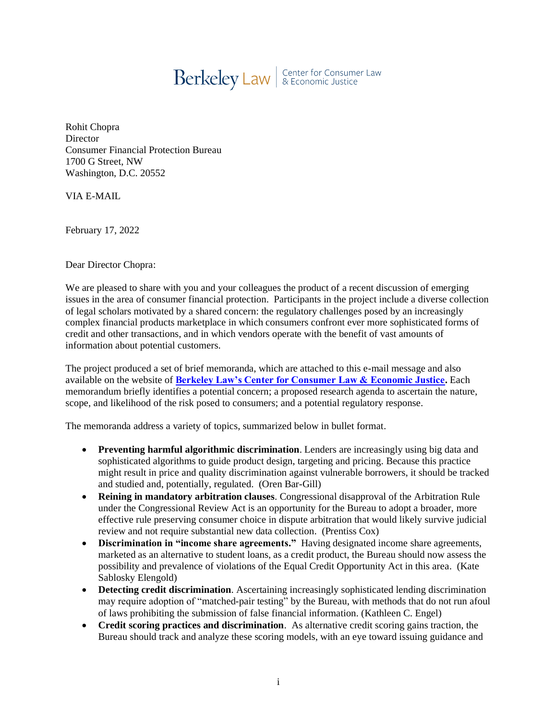

Rohit Chopra **Director** Consumer Financial Protection Bureau 1700 G Street, NW Washington, D.C. 20552

VIA E-MAIL

February 17, 2022

Dear Director Chopra:

We are pleased to share with you and your colleagues the product of a recent discussion of emerging issues in the area of consumer financial protection. Participants in the project include a diverse collection of legal scholars motivated by a shared concern: the regulatory challenges posed by an increasingly complex financial products marketplace in which consumers confront ever more sophisticated forms of credit and other transactions, and in which vendors operate with the benefit of vast amounts of information about potential customers.

The project produced a set of brief memoranda, which are attached to this e-mail message and also available on the website of **[Berkeley Law's Center for Consumer Law & Economic Justice.](https://consumerlaw.berkeley.edu/news/consumer-law-scholars-submit-research-and-policy-recommendations-new-director-consumer)** Each memorandum briefly identifies a potential concern; a proposed research agenda to ascertain the nature, scope, and likelihood of the risk posed to consumers; and a potential regulatory response.

The memoranda address a variety of topics, summarized below in bullet format.

- **Preventing harmful algorithmic discrimination**. Lenders are increasingly using big data and sophisticated algorithms to guide product design, targeting and pricing. Because this practice might result in price and quality discrimination against vulnerable borrowers, it should be tracked and studied and, potentially, regulated. (Oren Bar-Gill)
- **Reining in mandatory arbitration clauses**. Congressional disapproval of the Arbitration Rule under the Congressional Review Act is an opportunity for the Bureau to adopt a broader, more effective rule preserving consumer choice in dispute arbitration that would likely survive judicial review and not require substantial new data collection. (Prentiss Cox)
- **Discrimination in "income share agreements."** Having designated income share agreements, marketed as an alternative to student loans, as a credit product, the Bureau should now assess the possibility and prevalence of violations of the Equal Credit Opportunity Act in this area. (Kate Sablosky Elengold)
- **Detecting credit discrimination**. Ascertaining increasingly sophisticated lending discrimination may require adoption of "matched-pair testing" by the Bureau, with methods that do not run afoul of laws prohibiting the submission of false financial information. (Kathleen C. Engel)
- **Credit scoring practices and discrimination**. As alternative credit scoring gains traction, the Bureau should track and analyze these scoring models, with an eye toward issuing guidance and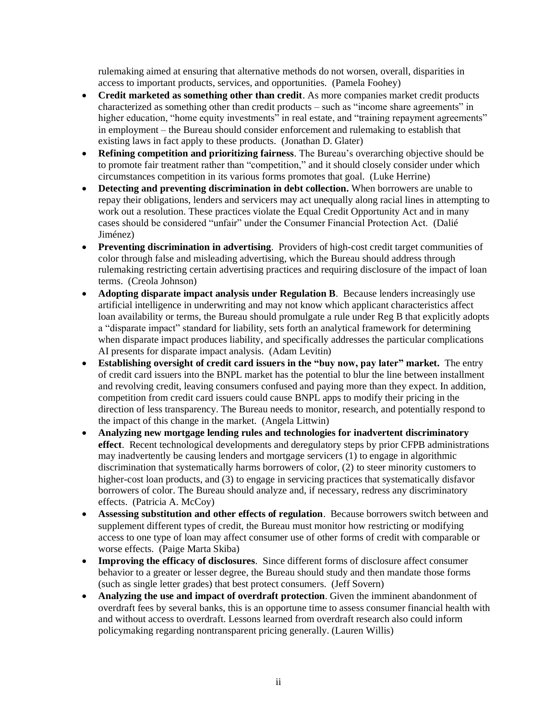rulemaking aimed at ensuring that alternative methods do not worsen, overall, disparities in access to important products, services, and opportunities. (Pamela Foohey)

- **Credit marketed as something other than credit**. As more companies market credit products characterized as something other than credit products – such as "income share agreements" in higher education, "home equity investments" in real estate, and "training repayment agreements" in employment – the Bureau should consider enforcement and rulemaking to establish that existing laws in fact apply to these products. (Jonathan D. Glater)
- **Refining competition and prioritizing fairness**. The Bureau's overarching objective should be to promote fair treatment rather than "competition," and it should closely consider under which circumstances competition in its various forms promotes that goal. (Luke Herrine)
- **Detecting and preventing discrimination in debt collection.** When borrowers are unable to repay their obligations, lenders and servicers may act unequally along racial lines in attempting to work out a resolution. These practices violate the Equal Credit Opportunity Act and in many cases should be considered "unfair" under the Consumer Financial Protection Act. (Dalié Jiménez)
- **Preventing discrimination in advertising**. Providers of high-cost credit target communities of color through false and misleading advertising, which the Bureau should address through rulemaking restricting certain advertising practices and requiring disclosure of the impact of loan terms. (Creola Johnson)
- **Adopting disparate impact analysis under Regulation B**. Because lenders increasingly use artificial intelligence in underwriting and may not know which applicant characteristics affect loan availability or terms, the Bureau should promulgate a rule under Reg B that explicitly adopts a "disparate impact" standard for liability, sets forth an analytical framework for determining when disparate impact produces liability, and specifically addresses the particular complications AI presents for disparate impact analysis. (Adam Levitin)
- **Establishing oversight of credit card issuers in the "buy now, pay later" market.** The entry of credit card issuers into the BNPL market has the potential to blur the line between installment and revolving credit, leaving consumers confused and paying more than they expect. In addition, competition from credit card issuers could cause BNPL apps to modify their pricing in the direction of less transparency. The Bureau needs to monitor, research, and potentially respond to the impact of this change in the market. (Angela Littwin)
- **Analyzing new mortgage lending rules and technologies for inadvertent discriminatory effect**. Recent technological developments and deregulatory steps by prior CFPB administrations may inadvertently be causing lenders and mortgage servicers (1) to engage in algorithmic discrimination that systematically harms borrowers of color, (2) to steer minority customers to higher-cost loan products, and (3) to engage in servicing practices that systematically disfavor borrowers of color. The Bureau should analyze and, if necessary, redress any discriminatory effects. (Patricia A. McCoy)
- **Assessing substitution and other effects of regulation**. Because borrowers switch between and supplement different types of credit, the Bureau must monitor how restricting or modifying access to one type of loan may affect consumer use of other forms of credit with comparable or worse effects. (Paige Marta Skiba)
- **Improving the efficacy of disclosures**. Since different forms of disclosure affect consumer behavior to a greater or lesser degree, the Bureau should study and then mandate those forms (such as single letter grades) that best protect consumers. (Jeff Sovern)
- **Analyzing the use and impact of overdraft protection**. Given the imminent abandonment of overdraft fees by several banks, this is an opportune time to assess consumer financial health with and without access to overdraft. Lessons learned from overdraft research also could inform policymaking regarding nontransparent pricing generally. (Lauren Willis)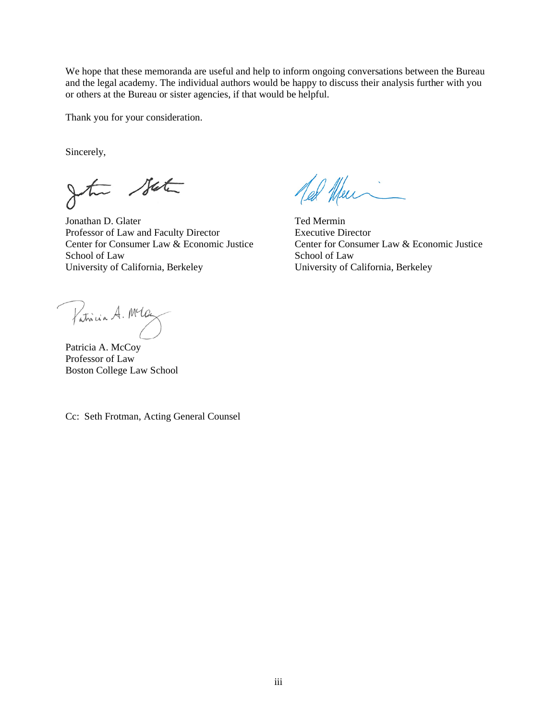We hope that these memoranda are useful and help to inform ongoing conversations between the Bureau and the legal academy. The individual authors would be happy to discuss their analysis further with you or others at the Bureau or sister agencies, if that would be helpful.

Thank you for your consideration.

Sincerely,

the State

Jonathan D. Glater Ted Mermin Professor of Law and Faculty Director Executive Director Center for Consumer Law & Economic Justice Center for Consumer Law & Economic Justice School of Law School of Law University of California, Berkeley University of California, Berkeley

led Alen

Patricia A. Mlay

Patricia A. McCoy Professor of Law Boston College Law School

Cc: Seth Frotman, Acting General Counsel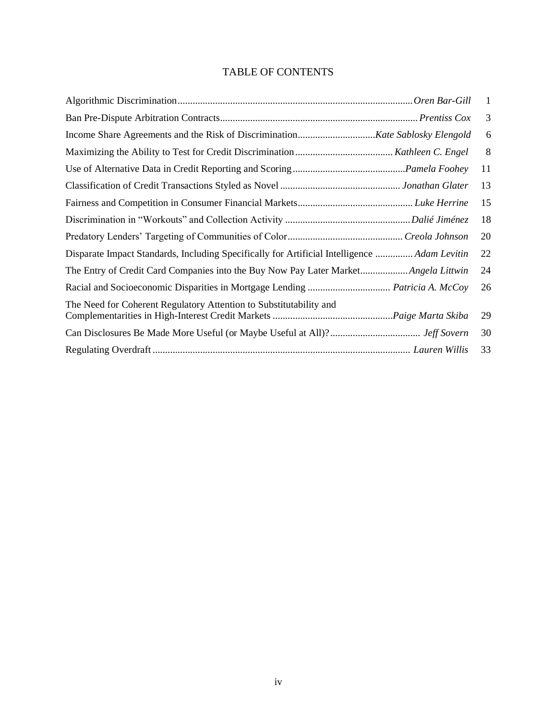# TABLE OF CONTENTS

|                                                                                              | -1 |
|----------------------------------------------------------------------------------------------|----|
|                                                                                              | 3  |
|                                                                                              | 6  |
|                                                                                              | 8  |
|                                                                                              | 11 |
|                                                                                              | 13 |
|                                                                                              | 15 |
|                                                                                              | 18 |
|                                                                                              | 20 |
| Disparate Impact Standards, Including Specifically for Artificial Intelligence  Adam Levitin | 22 |
| The Entry of Credit Card Companies into the Buy Now Pay Later Market Angela Littwin          | 24 |
| Racial and Socioeconomic Disparities in Mortgage Lending  Patricia A. McCoy                  | 26 |
| The Need for Coherent Regulatory Attention to Substitutability and                           | 29 |
|                                                                                              | 30 |
|                                                                                              | 33 |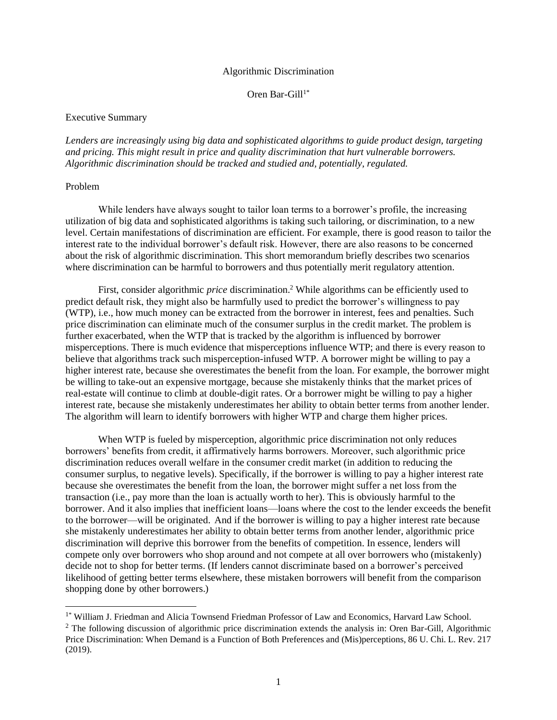#### Algorithmic Discrimination

Oren Bar-Gill $1^*$ 

#### <span id="page-4-0"></span>Executive Summary

*Lenders are increasingly using big data and sophisticated algorithms to guide product design, targeting and pricing. This might result in price and quality discrimination that hurt vulnerable borrowers. Algorithmic discrimination should be tracked and studied and, potentially, regulated.* 

## Problem

While lenders have always sought to tailor loan terms to a borrower's profile, the increasing utilization of big data and sophisticated algorithms is taking such tailoring, or discrimination, to a new level. Certain manifestations of discrimination are efficient. For example, there is good reason to tailor the interest rate to the individual borrower's default risk. However, there are also reasons to be concerned about the risk of algorithmic discrimination. This short memorandum briefly describes two scenarios where discrimination can be harmful to borrowers and thus potentially merit regulatory attention.

First, consider algorithmic *price* discrimination.<sup>2</sup> While algorithms can be efficiently used to predict default risk, they might also be harmfully used to predict the borrower's willingness to pay (WTP), i.e., how much money can be extracted from the borrower in interest, fees and penalties. Such price discrimination can eliminate much of the consumer surplus in the credit market. The problem is further exacerbated, when the WTP that is tracked by the algorithm is influenced by borrower misperceptions. There is much evidence that misperceptions influence WTP; and there is every reason to believe that algorithms track such misperception-infused WTP. A borrower might be willing to pay a higher interest rate, because she overestimates the benefit from the loan. For example, the borrower might be willing to take-out an expensive mortgage, because she mistakenly thinks that the market prices of real-estate will continue to climb at double-digit rates. Or a borrower might be willing to pay a higher interest rate, because she mistakenly underestimates her ability to obtain better terms from another lender. The algorithm will learn to identify borrowers with higher WTP and charge them higher prices.

When WTP is fueled by misperception, algorithmic price discrimination not only reduces borrowers' benefits from credit, it affirmatively harms borrowers. Moreover, such algorithmic price discrimination reduces overall welfare in the consumer credit market (in addition to reducing the consumer surplus, to negative levels). Specifically, if the borrower is willing to pay a higher interest rate because she overestimates the benefit from the loan, the borrower might suffer a net loss from the transaction (i.e., pay more than the loan is actually worth to her). This is obviously harmful to the borrower. And it also implies that inefficient loans—loans where the cost to the lender exceeds the benefit to the borrower—will be originated. And if the borrower is willing to pay a higher interest rate because she mistakenly underestimates her ability to obtain better terms from another lender, algorithmic price discrimination will deprive this borrower from the benefits of competition. In essence, lenders will compete only over borrowers who shop around and not compete at all over borrowers who (mistakenly) decide not to shop for better terms. (If lenders cannot discriminate based on a borrower's perceived likelihood of getting better terms elsewhere, these mistaken borrowers will benefit from the comparison shopping done by other borrowers.)

<sup>&</sup>lt;sup>1\*</sup> William J. Friedman and Alicia Townsend Friedman Professor of Law and Economics, Harvard Law School.

 $2$  The following discussion of algorithmic price discrimination extends the analysis in: Oren Bar-Gill, Algorithmic Price Discrimination: When Demand is a Function of Both Preferences and (Mis)perceptions, 86 U. Chi. L. Rev. 217 (2019).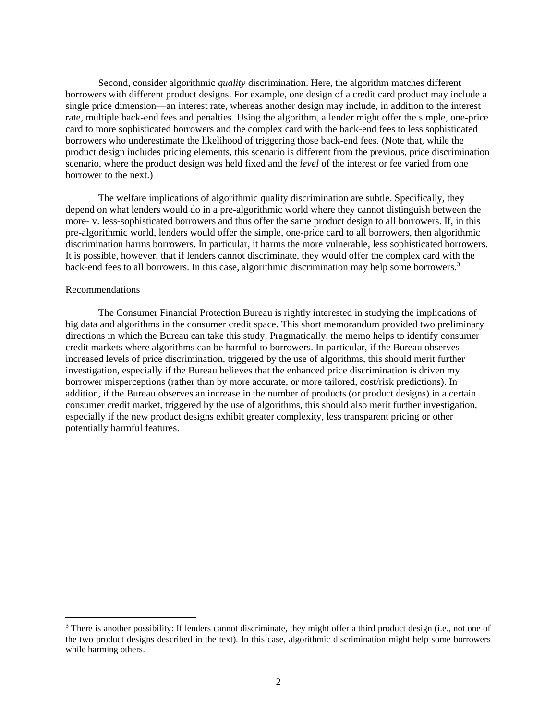Second, consider algorithmic *quality* discrimination. Here, the algorithm matches different borrowers with different product designs. For example, one design of a credit card product may include a single price dimension—an interest rate, whereas another design may include, in addition to the interest rate, multiple back-end fees and penalties. Using the algorithm, a lender might offer the simple, one-price card to more sophisticated borrowers and the complex card with the back-end fees to less sophisticated borrowers who underestimate the likelihood of triggering those back-end fees. (Note that, while the product design includes pricing elements, this scenario is different from the previous, price discrimination scenario, where the product design was held fixed and the *level* of the interest or fee varied from one borrower to the next.)

The welfare implications of algorithmic quality discrimination are subtle. Specifically, they depend on what lenders would do in a pre-algorithmic world where they cannot distinguish between the more- v. less-sophisticated borrowers and thus offer the same product design to all borrowers. If, in this pre-algorithmic world, lenders would offer the simple, one-price card to all borrowers, then algorithmic discrimination harms borrowers. In particular, it harms the more vulnerable, less sophisticated borrowers. It is possible, however, that if lenders cannot discriminate, they would offer the complex card with the back-end fees to all borrowers. In this case, algorithmic discrimination may help some borrowers.<sup>3</sup>

#### Recommendations

The Consumer Financial Protection Bureau is rightly interested in studying the implications of big data and algorithms in the consumer credit space. This short memorandum provided two preliminary directions in which the Bureau can take this study. Pragmatically, the memo helps to identify consumer credit markets where algorithms can be harmful to borrowers. In particular, if the Bureau observes increased levels of price discrimination, triggered by the use of algorithms, this should merit further investigation, especially if the Bureau believes that the enhanced price discrimination is driven my borrower misperceptions (rather than by more accurate, or more tailored, cost/risk predictions). In addition, if the Bureau observes an increase in the number of products (or product designs) in a certain consumer credit market, triggered by the use of algorithms, this should also merit further investigation, especially if the new product designs exhibit greater complexity, less transparent pricing or other potentially harmful features.

<span id="page-5-0"></span><sup>&</sup>lt;sup>3</sup> There is another possibility: If lenders cannot discriminate, they might offer a third product design (i.e., not one of the two product designs described in the text). In this case, algorithmic discrimination might help some borrowers while harming others.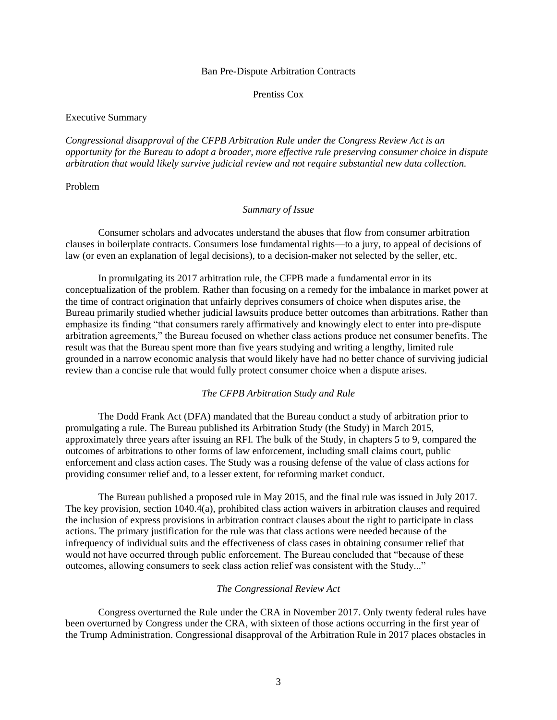#### Ban Pre-Dispute Arbitration Contracts

#### Prentiss Cox

### Executive Summary

*Congressional disapproval of the CFPB Arbitration Rule under the Congress Review Act is an opportunity for the Bureau to adopt a broader, more effective rule preserving consumer choice in dispute arbitration that would likely survive judicial review and not require substantial new data collection.*

## Problem

#### *Summary of Issue*

Consumer scholars and advocates understand the abuses that flow from consumer arbitration clauses in boilerplate contracts. Consumers lose fundamental rights—to a jury, to appeal of decisions of law (or even an explanation of legal decisions), to a decision-maker not selected by the seller, etc.

In promulgating its 2017 arbitration rule, the CFPB made a fundamental error in its conceptualization of the problem. Rather than focusing on a remedy for the imbalance in market power at the time of contract origination that unfairly deprives consumers of choice when disputes arise, the Bureau primarily studied whether judicial lawsuits produce better outcomes than arbitrations. Rather than emphasize its finding "that consumers rarely affirmatively and knowingly elect to enter into pre-dispute arbitration agreements," the Bureau focused on whether class actions produce net consumer benefits. The result was that the Bureau spent more than five years studying and writing a lengthy, limited rule grounded in a narrow economic analysis that would likely have had no better chance of surviving judicial review than a concise rule that would fully protect consumer choice when a dispute arises.

### *The CFPB Arbitration Study and Rule*

The Dodd Frank Act (DFA) mandated that the Bureau conduct a study of arbitration prior to promulgating a rule. The Bureau published its Arbitration Study (the Study) in March 2015, approximately three years after issuing an RFI. The bulk of the Study, in chapters 5 to 9, compared the outcomes of arbitrations to other forms of law enforcement, including small claims court, public enforcement and class action cases. The Study was a rousing defense of the value of class actions for providing consumer relief and, to a lesser extent, for reforming market conduct.

The Bureau published a proposed rule in May 2015, and the final rule was issued in July 2017. The key provision, section 1040.4(a), prohibited class action waivers in arbitration clauses and required the inclusion of express provisions in arbitration contract clauses about the right to participate in class actions. The primary justification for the rule was that class actions were needed because of the infrequency of individual suits and the effectiveness of class cases in obtaining consumer relief that would not have occurred through public enforcement. The Bureau concluded that "because of these outcomes, allowing consumers to seek class action relief was consistent with the Study..."

#### *The Congressional Review Act*

Congress overturned the Rule under the CRA in November 2017. Only twenty federal rules have been overturned by Congress under the CRA, with sixteen of those actions occurring in the first year of the Trump Administration. Congressional disapproval of the Arbitration Rule in 2017 places obstacles in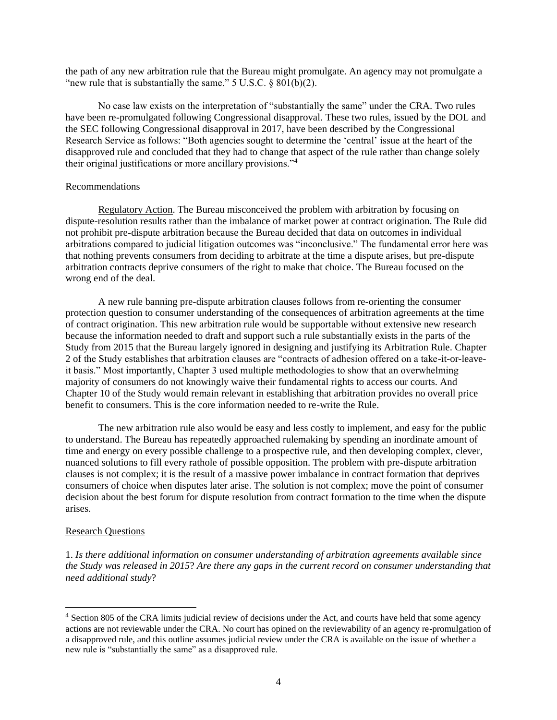the path of any new arbitration rule that the Bureau might promulgate. An agency may not promulgate a "new rule that is substantially the same."  $5 \text{ U.S.C. } \S 801(b)(2)$ .

No case law exists on the interpretation of "substantially the same" under the CRA. Two rules have been re-promulgated following Congressional disapproval. These two rules, issued by the DOL and the SEC following Congressional disapproval in 2017, have been described by the Congressional Research Service as follows: "Both agencies sought to determine the 'central' issue at the heart of the disapproved rule and concluded that they had to change that aspect of the rule rather than change solely their original justifications or more ancillary provisions."<sup>4</sup>

## Recommendations

Regulatory Action. The Bureau misconceived the problem with arbitration by focusing on dispute-resolution results rather than the imbalance of market power at contract origination. The Rule did not prohibit pre-dispute arbitration because the Bureau decided that data on outcomes in individual arbitrations compared to judicial litigation outcomes was "inconclusive." The fundamental error here was that nothing prevents consumers from deciding to arbitrate at the time a dispute arises, but pre-dispute arbitration contracts deprive consumers of the right to make that choice. The Bureau focused on the wrong end of the deal.

A new rule banning pre-dispute arbitration clauses follows from re-orienting the consumer protection question to consumer understanding of the consequences of arbitration agreements at the time of contract origination. This new arbitration rule would be supportable without extensive new research because the information needed to draft and support such a rule substantially exists in the parts of the Study from 2015 that the Bureau largely ignored in designing and justifying its Arbitration Rule. Chapter 2 of the Study establishes that arbitration clauses are "contracts of adhesion offered on a take-it-or-leaveit basis." Most importantly, Chapter 3 used multiple methodologies to show that an overwhelming majority of consumers do not knowingly waive their fundamental rights to access our courts. And Chapter 10 of the Study would remain relevant in establishing that arbitration provides no overall price benefit to consumers. This is the core information needed to re-write the Rule.

The new arbitration rule also would be easy and less costly to implement, and easy for the public to understand. The Bureau has repeatedly approached rulemaking by spending an inordinate amount of time and energy on every possible challenge to a prospective rule, and then developing complex, clever, nuanced solutions to fill every rathole of possible opposition. The problem with pre-dispute arbitration clauses is not complex; it is the result of a massive power imbalance in contract formation that deprives consumers of choice when disputes later arise. The solution is not complex; move the point of consumer decision about the best forum for dispute resolution from contract formation to the time when the dispute arises.

#### Research Questions

1. *Is there additional information on consumer understanding of arbitration agreements available since the Study was released in 2015*? *Are there any gaps in the current record on consumer understanding that need additional study*?

<sup>&</sup>lt;sup>4</sup> Section 805 of the CRA limits judicial review of decisions under the Act, and courts have held that some agency actions are not reviewable under the CRA. No court has opined on the reviewability of an agency re-promulgation of a disapproved rule, and this outline assumes judicial review under the CRA is available on the issue of whether a new rule is "substantially the same" as a disapproved rule.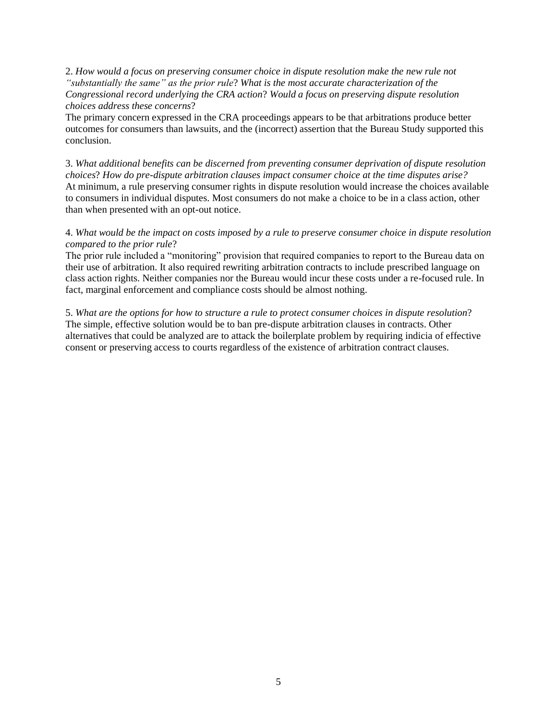2. *How would a focus on preserving consumer choice in dispute resolution make the new rule not "substantially the same" as the prior rule*? *What is the most accurate characterization of the Congressional record underlying the CRA action*? *Would a focus on preserving dispute resolution choices address these concerns*?

The primary concern expressed in the CRA proceedings appears to be that arbitrations produce better outcomes for consumers than lawsuits, and the (incorrect) assertion that the Bureau Study supported this conclusion.

3. *What additional benefits can be discerned from preventing consumer deprivation of dispute resolution choices*? *How do pre-dispute arbitration clauses impact consumer choice at the time disputes arise?*  At minimum, a rule preserving consumer rights in dispute resolution would increase the choices available to consumers in individual disputes. Most consumers do not make a choice to be in a class action, other than when presented with an opt-out notice.

## 4. *What would be the impact on costs imposed by a rule to preserve consumer choice in dispute resolution compared to the prior rule*?

The prior rule included a "monitoring" provision that required companies to report to the Bureau data on their use of arbitration. It also required rewriting arbitration contracts to include prescribed language on class action rights. Neither companies nor the Bureau would incur these costs under a re-focused rule. In fact, marginal enforcement and compliance costs should be almost nothing.

5. *What are the options for how to structure a rule to protect consumer choices in dispute resolution*? The simple, effective solution would be to ban pre-dispute arbitration clauses in contracts. Other alternatives that could be analyzed are to attack the boilerplate problem by requiring indicia of effective consent or preserving access to courts regardless of the existence of arbitration contract clauses.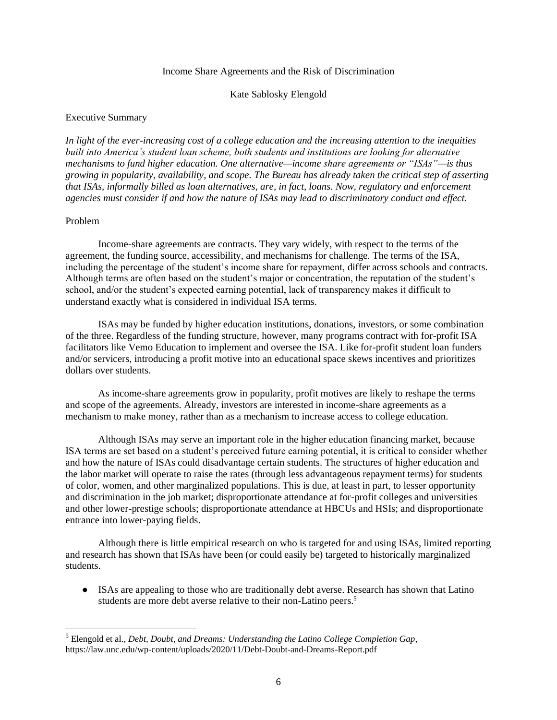#### Income Share Agreements and the Risk of Discrimination

### Kate Sablosky Elengold

### <span id="page-9-0"></span>Executive Summary

*In light of the ever-increasing cost of a college education and the increasing attention to the inequities built into America's student loan scheme, both students and institutions are looking for alternative mechanisms to fund higher education. One alternative—income share agreements or "ISAs"—is thus growing in popularity, availability, and scope. The Bureau has already taken the critical step of asserting that ISAs, informally billed as loan alternatives, are, in fact, loans. Now, regulatory and enforcement agencies must consider if and how the nature of ISAs may lead to discriminatory conduct and effect.* 

## Problem

Income-share agreements are contracts. They vary widely, with respect to the terms of the agreement, the funding source, accessibility, and mechanisms for challenge. The terms of the ISA, including the percentage of the student's income share for repayment, differ across schools and contracts. Although terms are often based on the student's major or concentration, the reputation of the student's school, and/or the student's expected earning potential, lack of transparency makes it difficult to understand exactly what is considered in individual ISA terms.

ISAs may be funded by higher education institutions, donations, investors, or some combination of the three. Regardless of the funding structure, however, many programs contract with for-profit ISA facilitators like Vemo Education to implement and oversee the ISA. Like for-profit student loan funders and/or servicers, introducing a profit motive into an educational space skews incentives and prioritizes dollars over students.

As income-share agreements grow in popularity, profit motives are likely to reshape the terms and scope of the agreements. Already, investors are interested in income-share agreements as a mechanism to make money, rather than as a mechanism to increase access to college education.

Although ISAs may serve an important role in the higher education financing market, because ISA terms are set based on a student's perceived future earning potential, it is critical to consider whether and how the nature of ISAs could disadvantage certain students. The structures of higher education and the labor market will operate to raise the rates (through less advantageous repayment terms) for students of color, women, and other marginalized populations. This is due, at least in part, to lesser opportunity and discrimination in the job market; disproportionate attendance at for-profit colleges and universities and other lower-prestige schools; disproportionate attendance at HBCUs and HSIs; and disproportionate entrance into lower-paying fields.

Although there is little empirical research on who is targeted for and using ISAs, limited reporting and research has shown that ISAs have been (or could easily be) targeted to historically marginalized students.

• ISAs are appealing to those who are traditionally debt averse. Research has shown that Latino students are more debt averse relative to their non-Latino peers.<sup>5</sup>

<sup>5</sup> Elengold et al., *Debt, Doubt, and Dreams: Understanding the Latino College Completion Gap*, https://law.unc.edu/wp-content/uploads/2020/11/Debt-Doubt-and-Dreams-Report.pdf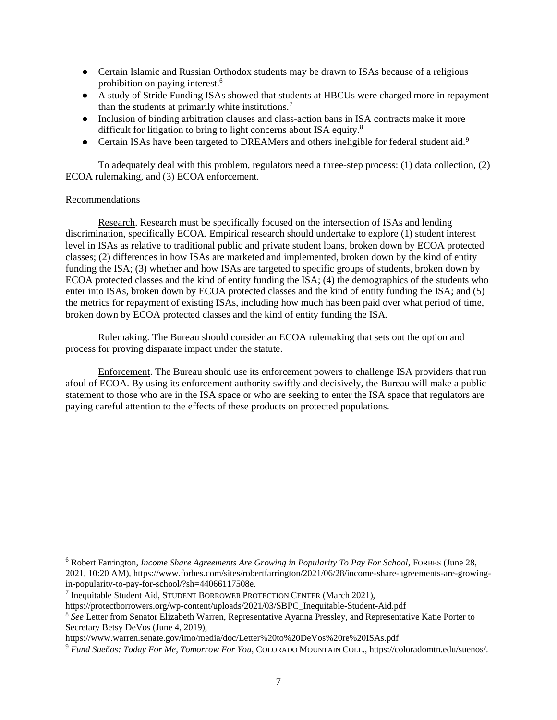- Certain Islamic and Russian Orthodox students may be drawn to ISAs because of a religious prohibition on paying interest.<sup>6</sup>
- A study of Stride Funding ISAs showed that students at HBCUs were charged more in repayment than the students at primarily white institutions.<sup>7</sup>
- Inclusion of binding arbitration clauses and class-action bans in ISA contracts make it more difficult for litigation to bring to light concerns about ISA equity.<sup>8</sup>
- Certain ISAs have been targeted to DREAMers and others ineligible for federal student aid.<sup>9</sup>

To adequately deal with this problem, regulators need a three-step process: (1) data collection, (2) ECOA rulemaking, and (3) ECOA enforcement.

## Recommendations

Research. Research must be specifically focused on the intersection of ISAs and lending discrimination, specifically ECOA. Empirical research should undertake to explore (1) student interest level in ISAs as relative to traditional public and private student loans, broken down by ECOA protected classes; (2) differences in how ISAs are marketed and implemented, broken down by the kind of entity funding the ISA; (3) whether and how ISAs are targeted to specific groups of students, broken down by ECOA protected classes and the kind of entity funding the ISA; (4) the demographics of the students who enter into ISAs, broken down by ECOA protected classes and the kind of entity funding the ISA; and (5) the metrics for repayment of existing ISAs, including how much has been paid over what period of time, broken down by ECOA protected classes and the kind of entity funding the ISA.

Rulemaking. The Bureau should consider an ECOA rulemaking that sets out the option and process for proving disparate impact under the statute.

Enforcement. The Bureau should use its enforcement powers to challenge ISA providers that run afoul of ECOA. By using its enforcement authority swiftly and decisively, the Bureau will make a public statement to those who are in the ISA space or who are seeking to enter the ISA space that regulators are paying careful attention to the effects of these products on protected populations.

<sup>6</sup> Robert Farrington, *Income Share Agreements Are Growing in Popularity To Pay For School*, FORBES (June 28, 2021, 10:20 AM), https://www.forbes.com/sites/robertfarrington/2021/06/28/income-share-agreements-are-growingin-popularity-to-pay-for-school/?sh=44066117508e.

<sup>&</sup>lt;sup>7</sup> Inequitable Student Aid, STUDENT BORROWER PROTECTION CENTER (March 2021),

https://protectborrowers.org/wp-content/uploads/2021/03/SBPC\_Inequitable-Student-Aid.pdf

<sup>8</sup> *See* Letter from Senator Elizabeth Warren, Representative Ayanna Pressley, and Representative Katie Porter to Secretary Betsy DeVos (June 4, 2019),

https://www.warren.senate.gov/imo/media/doc/Letter%20to%20DeVos%20re%20ISAs.pdf

<sup>9</sup> *Fund Sueños: Today For Me, Tomorrow For You*, COLORADO MOUNTAIN COLL., https://coloradomtn.edu/suenos/.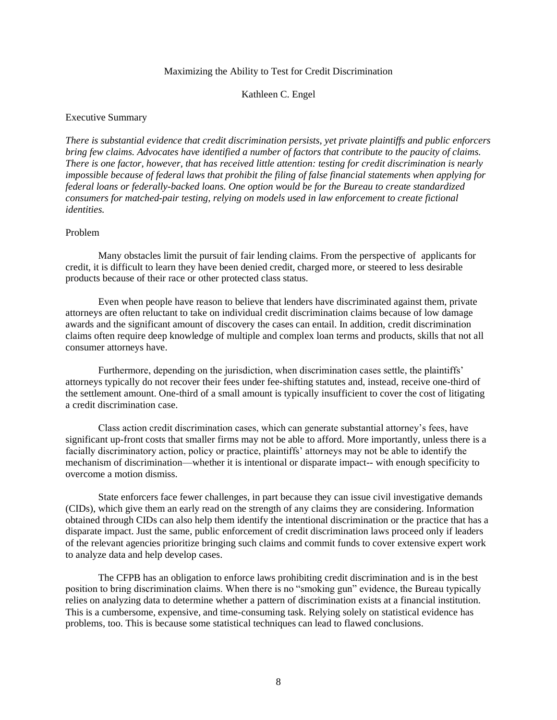#### Maximizing the Ability to Test for Credit Discrimination

#### Kathleen C. Engel

#### <span id="page-11-0"></span>Executive Summary

*There is substantial evidence that credit discrimination persists, yet private plaintiffs and public enforcers bring few claims. Advocates have identified a number of factors that contribute to the paucity of claims. There is one factor, however, that has received little attention: testing for credit discrimination is nearly impossible because of federal laws that prohibit the filing of false financial statements when applying for federal loans or federally-backed loans. One option would be for the Bureau to create standardized consumers for matched-pair testing, relying on models used in law enforcement to create fictional identities.*

#### Problem

Many obstacles limit the pursuit of fair lending claims. From the perspective of applicants for credit, it is difficult to learn they have been denied credit, charged more, or steered to less desirable products because of their race or other protected class status.

Even when people have reason to believe that lenders have discriminated against them, private attorneys are often reluctant to take on individual credit discrimination claims because of low damage awards and the significant amount of discovery the cases can entail. In addition, credit discrimination claims often require deep knowledge of multiple and complex loan terms and products, skills that not all consumer attorneys have.

Furthermore, depending on the jurisdiction, when discrimination cases settle, the plaintiffs' attorneys typically do not recover their fees under fee-shifting statutes and, instead, receive one-third of the settlement amount. One-third of a small amount is typically insufficient to cover the cost of litigating a credit discrimination case.

Class action credit discrimination cases, which can generate substantial attorney's fees, have significant up-front costs that smaller firms may not be able to afford. More importantly, unless there is a facially discriminatory action, policy or practice, plaintiffs' attorneys may not be able to identify the mechanism of discrimination—whether it is intentional or disparate impact-- with enough specificity to overcome a motion dismiss.

State enforcers face fewer challenges, in part because they can issue civil investigative demands (CIDs), which give them an early read on the strength of any claims they are considering. Information obtained through CIDs can also help them identify the intentional discrimination or the practice that has a disparate impact. Just the same, public enforcement of credit discrimination laws proceed only if leaders of the relevant agencies prioritize bringing such claims and commit funds to cover extensive expert work to analyze data and help develop cases.

The CFPB has an obligation to enforce laws prohibiting credit discrimination and is in the best position to bring discrimination claims. When there is no "smoking gun" evidence, the Bureau typically relies on analyzing data to determine whether a pattern of discrimination exists at a financial institution. This is a cumbersome, expensive, and time-consuming task. Relying solely on statistical evidence has problems, too. This is because some statistical techniques can lead to flawed conclusions.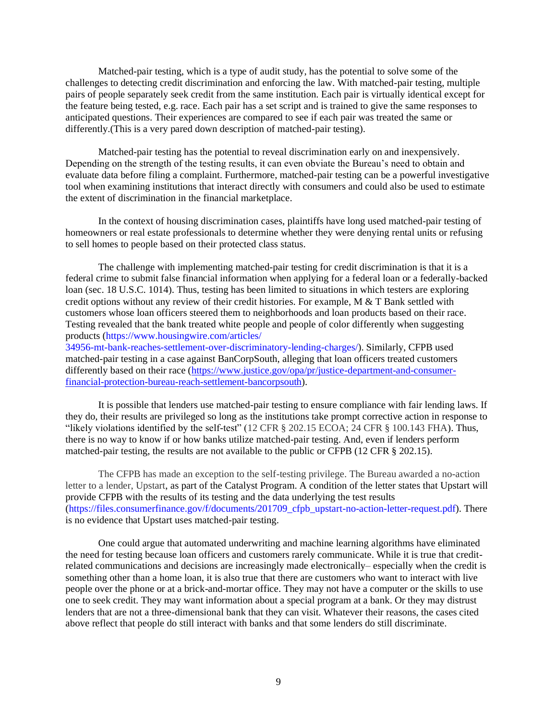Matched-pair testing, which is a type of audit study, has the potential to solve some of the challenges to detecting credit discrimination and enforcing the law. With matched-pair testing, multiple pairs of people separately seek credit from the same institution. Each pair is virtually identical except for the feature being tested, e.g. race. Each pair has a set script and is trained to give the same responses to anticipated questions. Their experiences are compared to see if each pair was treated the same or differently.(This is a very pared down description of matched-pair testing).

Matched-pair testing has the potential to reveal discrimination early on and inexpensively. Depending on the strength of the testing results, it can even obviate the Bureau's need to obtain and evaluate data before filing a complaint. Furthermore, matched-pair testing can be a powerful investigative tool when examining institutions that interact directly with consumers and could also be used to estimate the extent of discrimination in the financial marketplace.

In the context of housing discrimination cases, plaintiffs have long used matched-pair testing of homeowners or real estate professionals to determine whether they were denying rental units or refusing to sell homes to people based on their protected class status.

The challenge with implementing matched-pair testing for credit discrimination is that it is a federal crime to submit false financial information when applying for a federal loan or a federally-backed loan (sec. 18 U.S.C. 1014). Thus, testing has been limited to situations in which testers are exploring credit options without any review of their credit histories. For example,  $M < T$  Bank settled with customers whose loan officers steered them to neighborhoods and loan products based on their race. Testing revealed that the bank treated white people and people of color differently when suggesting products [\(https://www.housingwire.com/articles/](https://www.housingwire.com/articles/34956-mt-bank-reaches-settlement-over-discriminatory-lending-charges/) [34956-mt-bank-reaches-settlement-over-discriminatory-lending-charges/\)](https://www.housingwire.com/articles/34956-mt-bank-reaches-settlement-over-discriminatory-lending-charges/). Similarly, CFPB used

matched-pair testing in a case against BanCorpSouth, alleging that loan officers treated customers differently based on their race [\(https://www.justice.gov/opa/pr/justice-department-and-consumer](https://www.justice.gov/opa/pr/justice-department-and-consumer-financial-protection-bureau-reach-settlement-bancorpsouth)[financial-protection-bureau-reach-settlement-bancorpsouth\)](https://www.justice.gov/opa/pr/justice-department-and-consumer-financial-protection-bureau-reach-settlement-bancorpsouth).

It is possible that lenders use matched-pair testing to ensure compliance with fair lending laws. If they do, their results are privileged so long as the institutions take prompt corrective action in response to "likely violations identified by the self-test" (12 CFR § 202.15 ECOA; 24 CFR § 100.143 FHA). Thus, there is no way to know if or how banks utilize matched-pair testing. And, even if lenders perform matched-pair testing, the results are not available to the public or CFPB (12 CFR § 202.15).

The CFPB has made an exception to the self-testing privilege. The Bureau awarded a no-action letter to a lender, Upstart, as part of the Catalyst Program. A condition of the letter states that Upstart will provide CFPB with the results of its testing and the data underlying the test results [\(https://files.consumerfinance.gov/f/documents/201709\\_cfpb\\_upstart-no-action-letter-request.pdf\)](https://files.consumerfinance.gov/f/documents/201709_cfpb_upstart-no-action-letter-request.pdf). There is no evidence that Upstart uses matched-pair testing.

One could argue that automated underwriting and machine learning algorithms have eliminated the need for testing because loan officers and customers rarely communicate. While it is true that creditrelated communications and decisions are increasingly made electronically– especially when the credit is something other than a home loan, it is also true that there are customers who want to interact with live people over the phone or at a brick-and-mortar office. They may not have a computer or the skills to use one to seek credit. They may want information about a special program at a bank. Or they may distrust lenders that are not a three-dimensional bank that they can visit. Whatever their reasons, the cases cited above reflect that people do still interact with banks and that some lenders do still discriminate.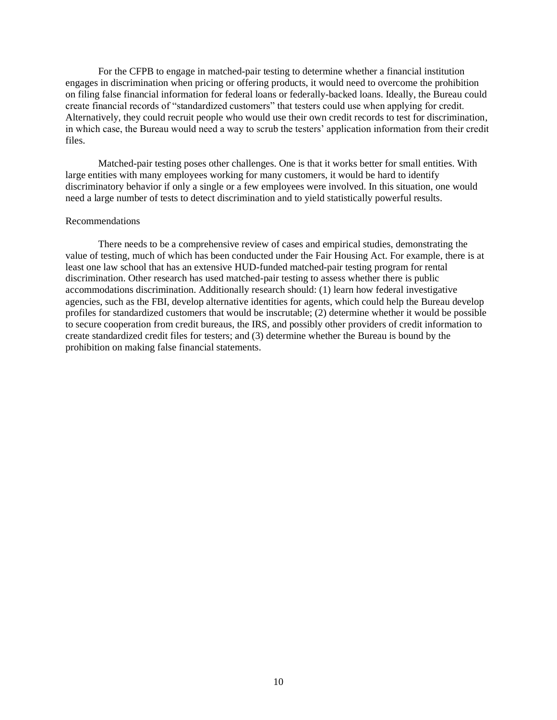For the CFPB to engage in matched-pair testing to determine whether a financial institution engages in discrimination when pricing or offering products, it would need to overcome the prohibition on filing false financial information for federal loans or federally-backed loans. Ideally, the Bureau could create financial records of "standardized customers" that testers could use when applying for credit. Alternatively, they could recruit people who would use their own credit records to test for discrimination, in which case, the Bureau would need a way to scrub the testers' application information from their credit files.

Matched-pair testing poses other challenges. One is that it works better for small entities. With large entities with many employees working for many customers, it would be hard to identify discriminatory behavior if only a single or a few employees were involved. In this situation, one would need a large number of tests to detect discrimination and to yield statistically powerful results.

## Recommendations

There needs to be a comprehensive review of cases and empirical studies, demonstrating the value of testing, much of which has been conducted under the Fair Housing Act. For example, there is at least one law school that has an extensive HUD-funded matched-pair testing program for rental discrimination. Other research has used matched-pair testing to assess whether there is public accommodations discrimination. Additionally research should: (1) learn how federal investigative agencies, such as the FBI, develop alternative identities for agents, which could help the Bureau develop profiles for standardized customers that would be inscrutable; (2) determine whether it would be possible to secure cooperation from credit bureaus, the IRS, and possibly other providers of credit information to create standardized credit files for testers; and (3) determine whether the Bureau is bound by the prohibition on making false financial statements.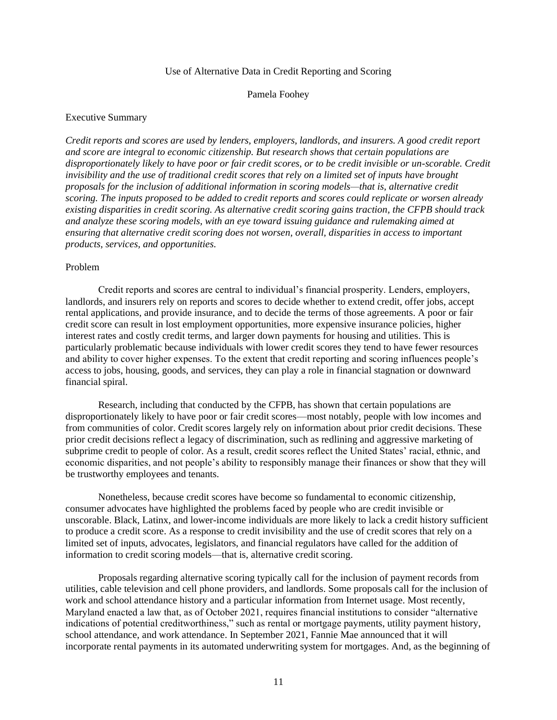#### Use of Alternative Data in Credit Reporting and Scoring

#### Pamela Foohey

#### <span id="page-14-0"></span>Executive Summary

*Credit reports and scores are used by lenders, employers, landlords, and insurers. A good credit report and score are integral to economic citizenship. But research shows that certain populations are disproportionately likely to have poor or fair credit scores, or to be credit invisible or un-scorable. Credit invisibility and the use of traditional credit scores that rely on a limited set of inputs have brought proposals for the inclusion of additional information in scoring models—that is, alternative credit scoring. The inputs proposed to be added to credit reports and scores could replicate or worsen already existing disparities in credit scoring. As alternative credit scoring gains traction, the CFPB should track and analyze these scoring models, with an eye toward issuing guidance and rulemaking aimed at ensuring that alternative credit scoring does not worsen, overall, disparities in access to important products, services, and opportunities.* 

## Problem

Credit reports and scores are central to individual's financial prosperity. Lenders, employers, landlords, and insurers rely on reports and scores to decide whether to extend credit, offer jobs, accept rental applications, and provide insurance, and to decide the terms of those agreements. A poor or fair credit score can result in lost employment opportunities, more expensive insurance policies, higher interest rates and costly credit terms, and larger down payments for housing and utilities. This is particularly problematic because individuals with lower credit scores they tend to have fewer resources and ability to cover higher expenses. To the extent that credit reporting and scoring influences people's access to jobs, housing, goods, and services, they can play a role in financial stagnation or downward financial spiral.

Research, including that conducted by the CFPB, has shown that certain populations are disproportionately likely to have poor or fair credit scores—most notably, people with low incomes and from communities of color. Credit scores largely rely on information about prior credit decisions. These prior credit decisions reflect a legacy of discrimination, such as redlining and aggressive marketing of subprime credit to people of color. As a result, credit scores reflect the United States' racial, ethnic, and economic disparities, and not people's ability to responsibly manage their finances or show that they will be trustworthy employees and tenants.

Nonetheless, because credit scores have become so fundamental to economic citizenship, consumer advocates have highlighted the problems faced by people who are credit invisible or unscorable. Black, Latinx, and lower-income individuals are more likely to lack a credit history sufficient to produce a credit score. As a response to credit invisibility and the use of credit scores that rely on a limited set of inputs, advocates, legislators, and financial regulators have called for the addition of information to credit scoring models—that is, alternative credit scoring.

Proposals regarding alternative scoring typically call for the inclusion of payment records from utilities, cable television and cell phone providers, and landlords. Some proposals call for the inclusion of work and school attendance history and a particular information from Internet usage. Most recently, Maryland enacted a law that, as of October 2021, requires financial institutions to consider "alternative indications of potential creditworthiness," such as rental or mortgage payments, utility payment history, school attendance, and work attendance. In September 2021, Fannie Mae announced that it will incorporate rental payments in its automated underwriting system for mortgages. And, as the beginning of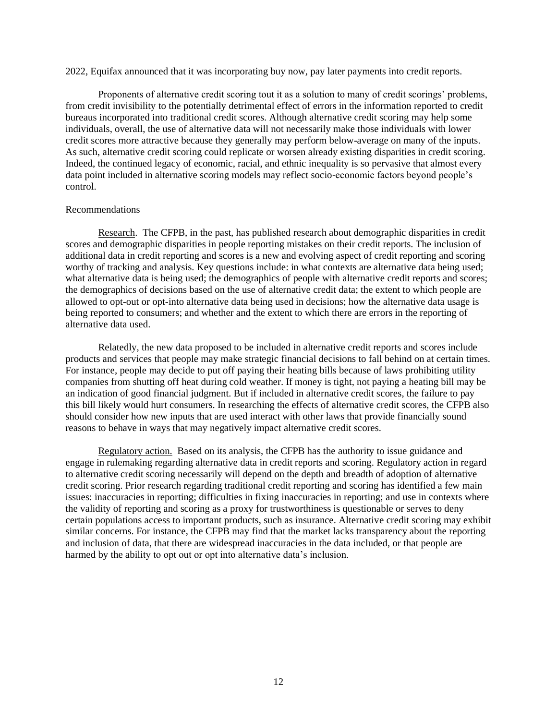2022, Equifax announced that it was incorporating buy now, pay later payments into credit reports.

Proponents of alternative credit scoring tout it as a solution to many of credit scorings' problems, from credit invisibility to the potentially detrimental effect of errors in the information reported to credit bureaus incorporated into traditional credit scores. Although alternative credit scoring may help some individuals, overall, the use of alternative data will not necessarily make those individuals with lower credit scores more attractive because they generally may perform below-average on many of the inputs. As such, alternative credit scoring could replicate or worsen already existing disparities in credit scoring. Indeed, the continued legacy of economic, racial, and ethnic inequality is so pervasive that almost every data point included in alternative scoring models may reflect socio-economic factors beyond people's control.

## Recommendations

Research. The CFPB, in the past, has published research about demographic disparities in credit scores and demographic disparities in people reporting mistakes on their credit reports. The inclusion of additional data in credit reporting and scores is a new and evolving aspect of credit reporting and scoring worthy of tracking and analysis. Key questions include: in what contexts are alternative data being used; what alternative data is being used; the demographics of people with alternative credit reports and scores; the demographics of decisions based on the use of alternative credit data; the extent to which people are allowed to opt-out or opt-into alternative data being used in decisions; how the alternative data usage is being reported to consumers; and whether and the extent to which there are errors in the reporting of alternative data used.

Relatedly, the new data proposed to be included in alternative credit reports and scores include products and services that people may make strategic financial decisions to fall behind on at certain times. For instance, people may decide to put off paying their heating bills because of laws prohibiting utility companies from shutting off heat during cold weather. If money is tight, not paying a heating bill may be an indication of good financial judgment. But if included in alternative credit scores, the failure to pay this bill likely would hurt consumers. In researching the effects of alternative credit scores, the CFPB also should consider how new inputs that are used interact with other laws that provide financially sound reasons to behave in ways that may negatively impact alternative credit scores.

Regulatory action. Based on its analysis, the CFPB has the authority to issue guidance and engage in rulemaking regarding alternative data in credit reports and scoring. Regulatory action in regard to alternative credit scoring necessarily will depend on the depth and breadth of adoption of alternative credit scoring. Prior research regarding traditional credit reporting and scoring has identified a few main issues: inaccuracies in reporting; difficulties in fixing inaccuracies in reporting; and use in contexts where the validity of reporting and scoring as a proxy for trustworthiness is questionable or serves to deny certain populations access to important products, such as insurance. Alternative credit scoring may exhibit similar concerns. For instance, the CFPB may find that the market lacks transparency about the reporting and inclusion of data, that there are widespread inaccuracies in the data included, or that people are harmed by the ability to opt out or opt into alternative data's inclusion.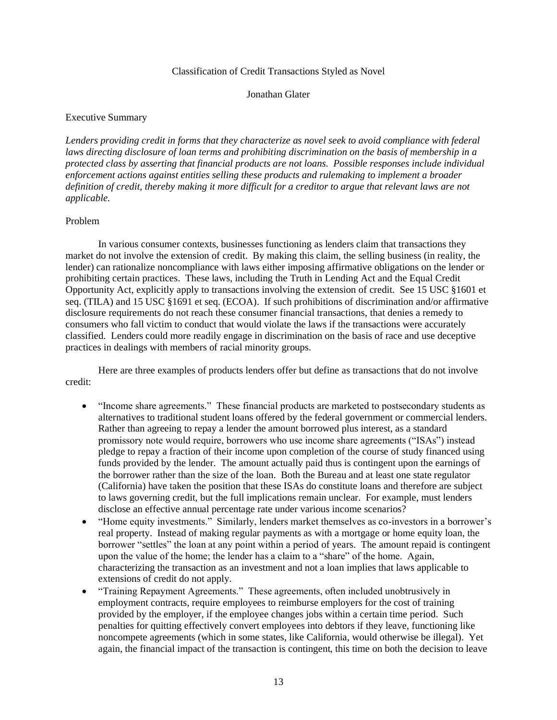#### Classification of Credit Transactions Styled as Novel

#### Jonathan Glater

## <span id="page-16-0"></span>Executive Summary

*Lenders providing credit in forms that they characterize as novel seek to avoid compliance with federal laws directing disclosure of loan terms and prohibiting discrimination on the basis of membership in a protected class by asserting that financial products are not loans. Possible responses include individual enforcement actions against entities selling these products and rulemaking to implement a broader definition of credit, thereby making it more difficult for a creditor to argue that relevant laws are not applicable.*

## Problem

In various consumer contexts, businesses functioning as lenders claim that transactions they market do not involve the extension of credit. By making this claim, the selling business (in reality, the lender) can rationalize noncompliance with laws either imposing affirmative obligations on the lender or prohibiting certain practices. These laws, including the Truth in Lending Act and the Equal Credit Opportunity Act, explicitly apply to transactions involving the extension of credit. See 15 USC §1601 et seq. (TILA) and 15 USC §1691 et seq. (ECOA). If such prohibitions of discrimination and/or affirmative disclosure requirements do not reach these consumer financial transactions, that denies a remedy to consumers who fall victim to conduct that would violate the laws if the transactions were accurately classified. Lenders could more readily engage in discrimination on the basis of race and use deceptive practices in dealings with members of racial minority groups.

Here are three examples of products lenders offer but define as transactions that do not involve credit:

- "Income share agreements." These financial products are marketed to postsecondary students as alternatives to traditional student loans offered by the federal government or commercial lenders. Rather than agreeing to repay a lender the amount borrowed plus interest, as a standard promissory note would require, borrowers who use income share agreements ("ISAs") instead pledge to repay a fraction of their income upon completion of the course of study financed using funds provided by the lender. The amount actually paid thus is contingent upon the earnings of the borrower rather than the size of the loan. Both the Bureau and at least one state regulator (California) have taken the position that these ISAs do constitute loans and therefore are subject to laws governing credit, but the full implications remain unclear. For example, must lenders disclose an effective annual percentage rate under various income scenarios?
- "Home equity investments." Similarly, lenders market themselves as co-investors in a borrower's real property. Instead of making regular payments as with a mortgage or home equity loan, the borrower "settles" the loan at any point within a period of years. The amount repaid is contingent upon the value of the home; the lender has a claim to a "share" of the home. Again, characterizing the transaction as an investment and not a loan implies that laws applicable to extensions of credit do not apply.
- "Training Repayment Agreements." These agreements, often included unobtrusively in employment contracts, require employees to reimburse employers for the cost of training provided by the employer, if the employee changes jobs within a certain time period. Such penalties for quitting effectively convert employees into debtors if they leave, functioning like noncompete agreements (which in some states, like California, would otherwise be illegal). Yet again, the financial impact of the transaction is contingent, this time on both the decision to leave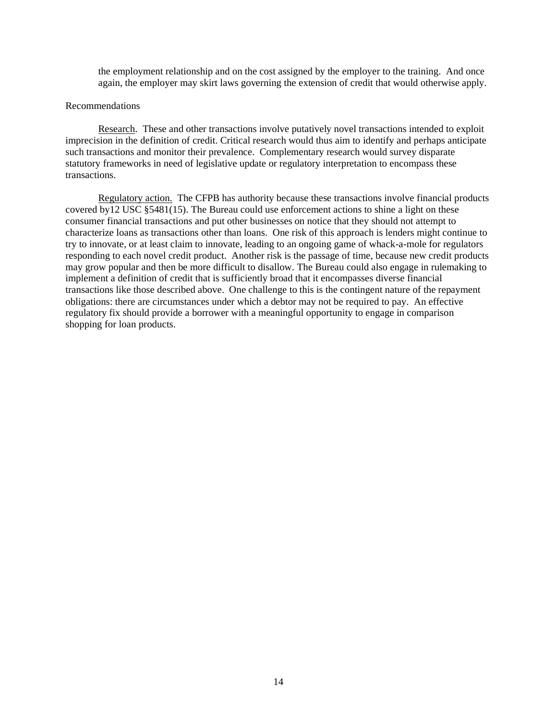the employment relationship and on the cost assigned by the employer to the training. And once again, the employer may skirt laws governing the extension of credit that would otherwise apply.

#### Recommendations

Research. These and other transactions involve putatively novel transactions intended to exploit imprecision in the definition of credit. Critical research would thus aim to identify and perhaps anticipate such transactions and monitor their prevalence. Complementary research would survey disparate statutory frameworks in need of legislative update or regulatory interpretation to encompass these transactions.

Regulatory action. The CFPB has authority because these transactions involve financial products covered by12 USC §5481(15). The Bureau could use enforcement actions to shine a light on these consumer financial transactions and put other businesses on notice that they should not attempt to characterize loans as transactions other than loans. One risk of this approach is lenders might continue to try to innovate, or at least claim to innovate, leading to an ongoing game of whack-a-mole for regulators responding to each novel credit product. Another risk is the passage of time, because new credit products may grow popular and then be more difficult to disallow. The Bureau could also engage in rulemaking to implement a definition of credit that is sufficiently broad that it encompasses diverse financial transactions like those described above. One challenge to this is the contingent nature of the repayment obligations: there are circumstances under which a debtor may not be required to pay. An effective regulatory fix should provide a borrower with a meaningful opportunity to engage in comparison shopping for loan products.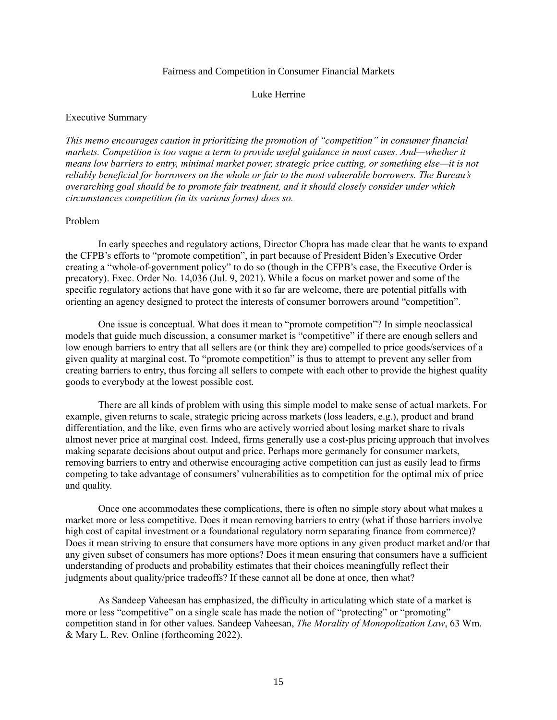#### Fairness and Competition in Consumer Financial Markets

#### Luke Herrine

## <span id="page-18-0"></span>Executive Summary

*This memo encourages caution in prioritizing the promotion of "competition" in consumer financial markets. Competition is too vague a term to provide useful guidance in most cases. And—whether it means low barriers to entry, minimal market power, strategic price cutting, or something else—it is not reliably beneficial for borrowers on the whole or fair to the most vulnerable borrowers. The Bureau's overarching goal should be to promote fair treatment, and it should closely consider under which circumstances competition (in its various forms) does so.*

## Problem

In early speeches and regulatory actions, Director Chopra has made clear that he wants to expand the CFPB's efforts to "promote competition", in part because of President Biden's Executive Order creating a "whole-of-government policy" to do so (though in the CFPB's case, the Executive Order is precatory). Exec. Order No. 14,036 (Jul. 9, 2021). While a focus on market power and some of the specific regulatory actions that have gone with it so far are welcome, there are potential pitfalls with orienting an agency designed to protect the interests of consumer borrowers around "competition".

One issue is conceptual. What does it mean to "promote competition"? In simple neoclassical models that guide much discussion, a consumer market is "competitive" if there are enough sellers and low enough barriers to entry that all sellers are (or think they are) compelled to price goods/services of a given quality at marginal cost. To "promote competition" is thus to attempt to prevent any seller from creating barriers to entry, thus forcing all sellers to compete with each other to provide the highest quality goods to everybody at the lowest possible cost.

There are all kinds of problem with using this simple model to make sense of actual markets. For example, given returns to scale, strategic pricing across markets (loss leaders, e.g.), product and brand differentiation, and the like, even firms who are actively worried about losing market share to rivals almost never price at marginal cost. Indeed, firms generally use a cost-plus pricing approach that involves making separate decisions about output and price. Perhaps more germanely for consumer markets, removing barriers to entry and otherwise encouraging active competition can just as easily lead to firms competing to take advantage of consumers' vulnerabilities as to competition for the optimal mix of price and quality.

Once one accommodates these complications, there is often no simple story about what makes a market more or less competitive. Does it mean removing barriers to entry (what if those barriers involve high cost of capital investment or a foundational regulatory norm separating finance from commerce)? Does it mean striving to ensure that consumers have more options in any given product market and/or that any given subset of consumers has more options? Does it mean ensuring that consumers have a sufficient understanding of products and probability estimates that their choices meaningfully reflect their judgments about quality/price tradeoffs? If these cannot all be done at once, then what?

As Sandeep Vaheesan has emphasized, the difficulty in articulating which state of a market is more or less "competitive" on a single scale has made the notion of "protecting" or "promoting" competition stand in for other values. Sandeep Vaheesan, *The Morality of Monopolization Law*, 63 Wm. & Mary L. Rev. Online (forthcoming 2022).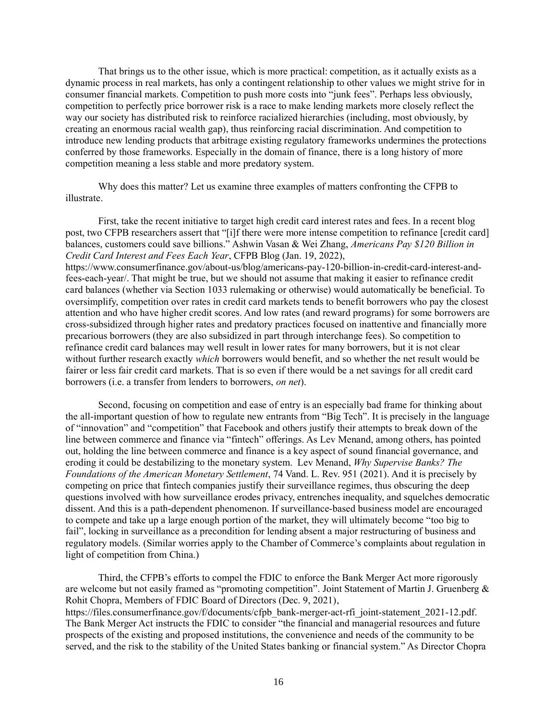That brings us to the other issue, which is more practical: competition, as it actually exists as a dynamic process in real markets, has only a contingent relationship to other values we might strive for in consumer financial markets. Competition to push more costs into "junk fees". Perhaps less obviously, competition to perfectly price borrower risk is a race to make lending markets more closely reflect the way our society has distributed risk to reinforce racialized hierarchies (including, most obviously, by creating an enormous racial wealth gap), thus reinforcing racial discrimination. And competition to introduce new lending products that arbitrage existing regulatory frameworks undermines the protections conferred by those frameworks. Especially in the domain of finance, there is a long history of more competition meaning a less stable and more predatory system.

Why does this matter? Let us examine three examples of matters confronting the CFPB to illustrate.

First, take the recent initiative to target high credit card interest rates and fees. In a recent blog post, two CFPB researchers assert that "[i]f there were more intense competition to refinance [credit card] balances, customers could save billions." Ashwin Vasan & Wei Zhang, *Americans Pay \$120 Billion in Credit Card Interest and Fees Each Year*, CFPB Blog (Jan. 19, 2022), https://www.consumerfinance.gov/about-us/blog/americans-pay-120-billion-in-credit-card-interest-andfees-each-year/. That might be true, but we should not assume that making it easier to refinance credit card balances (whether via Section 1033 rulemaking or otherwise) would automatically be beneficial. To oversimplify, competition over rates in credit card markets tends to benefit borrowers who pay the closest attention and who have higher credit scores. And low rates (and reward programs) for some borrowers are cross-subsidized through higher rates and predatory practices focused on inattentive and financially more precarious borrowers (they are also subsidized in part through interchange fees). So competition to refinance credit card balances may well result in lower rates for many borrowers, but it is not clear without further research exactly *which* borrowers would benefit, and so whether the net result would be fairer or less fair credit card markets. That is so even if there would be a net savings for all credit card borrowers (i.e. a transfer from lenders to borrowers, *on net*).

Second, focusing on competition and ease of entry is an especially bad frame for thinking about the all-important question of how to regulate new entrants from "Big Tech". It is precisely in the language of "innovation" and "competition" that Facebook and others justify their attempts to break down of the line between commerce and finance via "fintech" offerings. As Lev Menand, among others, has pointed out, holding the line between commerce and finance is a key aspect of sound financial governance, and eroding it could be destabilizing to the monetary system. Lev Menand, *Why Supervise Banks? The Foundations of the American Monetary Settlement*, 74 Vand. L. Rev. 951 (2021). And it is precisely by competing on price that fintech companies justify their surveillance regimes, thus obscuring the deep questions involved with how surveillance erodes privacy, entrenches inequality, and squelches democratic dissent. And this is a path-dependent phenomenon. If surveillance-based business model are encouraged to compete and take up a large enough portion of the market, they will ultimately become "too big to fail", locking in surveillance as a precondition for lending absent a major restructuring of business and regulatory models. (Similar worries apply to the Chamber of Commerce's complaints about regulation in light of competition from China.)

Third, the CFPB's efforts to compel the FDIC to enforce the Bank Merger Act more rigorously are welcome but not easily framed as "promoting competition". Joint Statement of Martin J. Gruenberg & Rohit Chopra, Members of FDIC Board of Directors (Dec. 9, 2021), https://files.consumerfinance.gov/f/documents/cfpb\_bank-merger-act-rfi\_joint-statement\_2021-12.pdf. The Bank Merger Act instructs the FDIC to consider "the financial and managerial resources and future prospects of the existing and proposed institutions, the convenience and needs of the community to be served, and the risk to the stability of the United States banking or financial system." As Director Chopra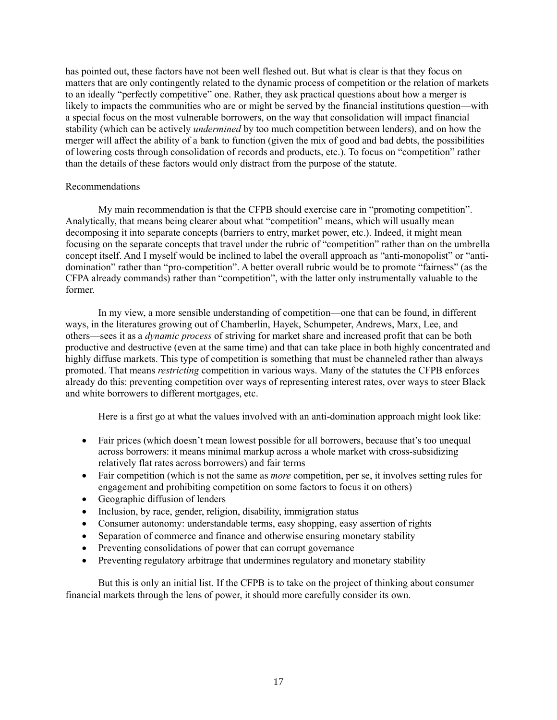has pointed out, these factors have not been well fleshed out. But what is clear is that they focus on matters that are only contingently related to the dynamic process of competition or the relation of markets to an ideally "perfectly competitive" one. Rather, they ask practical questions about how a merger is likely to impacts the communities who are or might be served by the financial institutions question—with a special focus on the most vulnerable borrowers, on the way that consolidation will impact financial stability (which can be actively *undermined* by too much competition between lenders), and on how the merger will affect the ability of a bank to function (given the mix of good and bad debts, the possibilities of lowering costs through consolidation of records and products, etc.). To focus on "competition" rather than the details of these factors would only distract from the purpose of the statute.

## Recommendations

My main recommendation is that the CFPB should exercise care in "promoting competition". Analytically, that means being clearer about what "competition" means, which will usually mean decomposing it into separate concepts (barriers to entry, market power, etc.). Indeed, it might mean focusing on the separate concepts that travel under the rubric of "competition" rather than on the umbrella concept itself. And I myself would be inclined to label the overall approach as "anti-monopolist" or "antidomination" rather than "pro-competition". A better overall rubric would be to promote "fairness" (as the CFPA already commands) rather than "competition", with the latter only instrumentally valuable to the former.

In my view, a more sensible understanding of competition—one that can be found, in different ways, in the literatures growing out of Chamberlin, Hayek, Schumpeter, Andrews, Marx, Lee, and others—sees it as a *dynamic process* of striving for market share and increased profit that can be both productive and destructive (even at the same time) and that can take place in both highly concentrated and highly diffuse markets. This type of competition is something that must be channeled rather than always promoted. That means *restricting* competition in various ways. Many of the statutes the CFPB enforces already do this: preventing competition over ways of representing interest rates, over ways to steer Black and white borrowers to different mortgages, etc.

Here is a first go at what the values involved with an anti-domination approach might look like:

- Fair prices (which doesn't mean lowest possible for all borrowers, because that's too unequal across borrowers: it means minimal markup across a whole market with cross-subsidizing relatively flat rates across borrowers) and fair terms
- Fair competition (which is not the same as *more* competition, per se, it involves setting rules for engagement and prohibiting competition on some factors to focus it on others)
- Geographic diffusion of lenders
- Inclusion, by race, gender, religion, disability, immigration status
- Consumer autonomy: understandable terms, easy shopping, easy assertion of rights
- Separation of commerce and finance and otherwise ensuring monetary stability
- Preventing consolidations of power that can corrupt governance
- Preventing regulatory arbitrage that undermines regulatory and monetary stability

But this is only an initial list. If the CFPB is to take on the project of thinking about consumer financial markets through the lens of power, it should more carefully consider its own.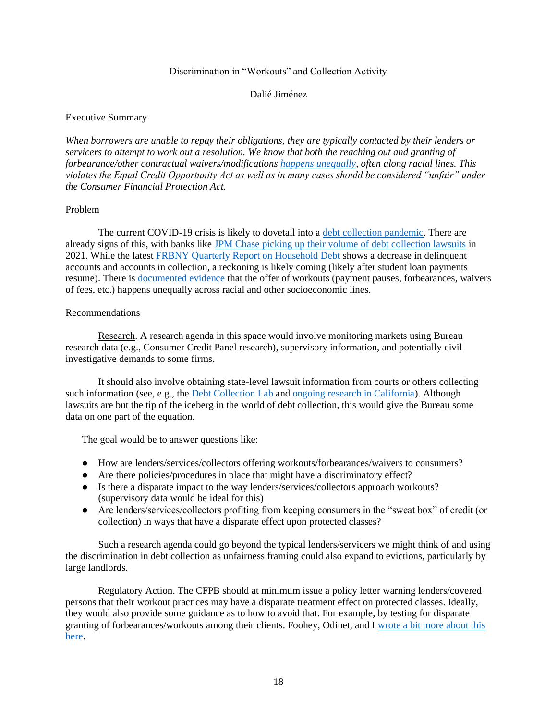## Discrimination in "Workouts" and Collection Activity

## Dalié Jiménez

## <span id="page-21-0"></span>Executive Summary

*When borrowers are unable to repay their obligations, they are typically contacted by their lenders or servicers to attempt to work out a resolution. We know that both the reaching out and granting of forbearance/other contractual waivers/modifications [happens unequally,](https://papers.ssrn.com/sol3/papers.cfm?abstract_id=3915707) often along racial lines. This violates the Equal Credit Opportunity Act as well as in many cases should be considered "unfair" under the Consumer Financial Protection Act.*

## Problem

The current COVID-19 crisis is likely to dovetail into a [debt collection pandemic.](https://www.californialawreview.org/debt-collection-pandemic/#clr-toc-heading-9) There are already signs of this, with banks like [JPM Chase picking up their volume of debt collection lawsuits](https://www.propublica.org/article/a-return-to-robo-signing-jpmorgan-chase-has-unleashed-a-lawsuit-blitz-on-credit-card-customers) in 2021. While the latest [FRBNY Quarterly Report on Household Debt](https://www.newyorkfed.org/medialibrary/interactives/householdcredit/data/pdf/HHDC_2021Q3.pdf) shows a decrease in delinquent accounts and accounts in collection, a reckoning is likely coming (likely after student loan payments resume). There is [documented evidence](https://papers.ssrn.com/sol3/papers.cfm?abstract_id=3915707) that the offer of workouts (payment pauses, forbearances, waivers of fees, etc.) happens unequally across racial and other socioeconomic lines.

## Recommendations

Research. A research agenda in this space would involve monitoring markets using Bureau research data (e.g., Consumer Credit Panel research), supervisory information, and potentially civil investigative demands to some firms.

It should also involve obtaining state-level lawsuit information from courts or others collecting such information (see, e.g., the [Debt Collection Lab](https://debtcollectionlab.org/about-us) an[d ongoing research in California\)](https://protectborrowers.org/wp-content/uploads/2021/08/Co-Opting-CA-Courts.pdf). Although lawsuits are but the tip of the iceberg in the world of debt collection, this would give the Bureau some data on one part of the equation.

The goal would be to answer questions like:

- How are lenders/services/collectors offering workouts/forbearances/waivers to consumers?
- Are there policies/procedures in place that might have a discriminatory effect?
- Is there a disparate impact to the way lenders/services/collectors approach workouts? (supervisory data would be ideal for this)
- Are lenders/services/collectors profiting from keeping consumers in the "sweat box" of credit (or collection) in ways that have a disparate effect upon protected classes?

Such a research agenda could go beyond the typical lenders/servicers we might think of and using the discrimination in debt collection as unfairness framing could also expand to evictions, particularly by large landlords.

Regulatory Action. The CFPB should at minimum issue a policy letter warning lenders/covered persons that their workout practices may have a disparate treatment effect on protected classes. Ideally, they would also provide some guidance as to how to avoid that. For example, by testing for disparate granting of forbearances/workouts among their clients. Foohey, Odinet, and I [wrote a bit more about this](https://papers.ssrn.com/sol3/papers.cfm?abstract_id=3869961)  [here.](https://papers.ssrn.com/sol3/papers.cfm?abstract_id=3869961)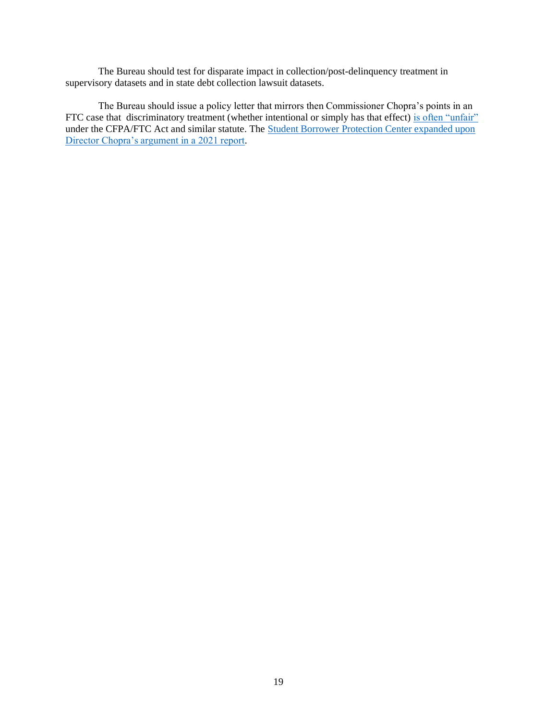The Bureau should test for disparate impact in collection/post-delinquency treatment in supervisory datasets and in state debt collection lawsuit datasets.

The Bureau should issue a policy letter that mirrors then Commissioner Chopra's points in an FTC case that discriminatory treatment (whether intentional or simply has that effect) [is often "unfair"](https://www.ftc.gov/system/files/documents/public_statements/1576002/bronx_honda_final_rchopra_bronx_honda_statement.pdf) under the CFPA/FTC Act and similar statute. The Student Borrower Protection Center expanded upon [Director Chopra's argument in a 2021 report.](https://protectborrowers.org/discrimination-is-unfair-interpreting-udaap-to-prohibit-discrimination/)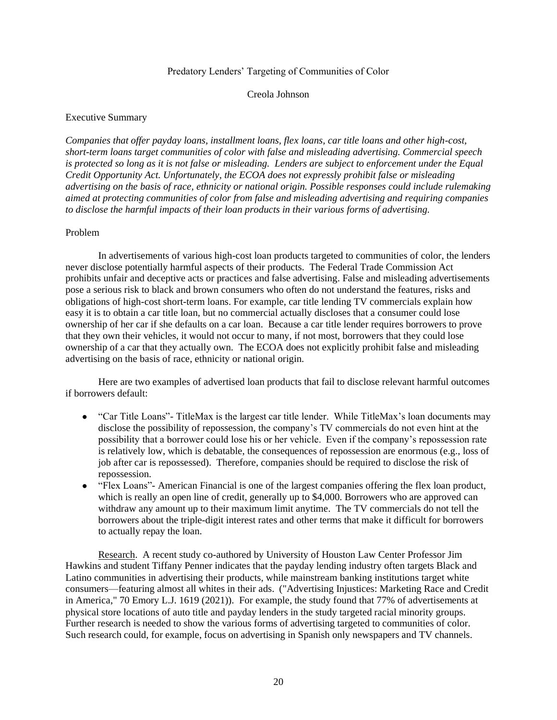## Predatory Lenders' Targeting of Communities of Color

#### Creola Johnson

#### <span id="page-23-0"></span>Executive Summary

*Companies that offer payday loans, installment loans, flex loans, car title loans and other high-cost, short-term loans target communities of color with false and misleading advertising. Commercial speech is protected so long as it is not false or misleading. Lenders are subject to enforcement under the Equal Credit Opportunity Act. Unfortunately, the ECOA does not expressly prohibit false or misleading advertising on the basis of race, ethnicity or national origin. Possible responses could include rulemaking aimed at protecting communities of color from false and misleading advertising and requiring companies to disclose the harmful impacts of their loan products in their various forms of advertising.*

#### Problem

In advertisements of various high-cost loan products targeted to communities of color, the lenders never disclose potentially harmful aspects of their products. The Federal Trade Commission Act prohibits unfair and deceptive acts or practices and false advertising. False and misleading advertisements pose a serious risk to black and brown consumers who often do not understand the features, risks and obligations of high-cost short-term loans. For example, car title lending TV commercials explain how easy it is to obtain a car title loan, but no commercial actually discloses that a consumer could lose ownership of her car if she defaults on a car loan. Because a car title lender requires borrowers to prove that they own their vehicles, it would not occur to many, if not most, borrowers that they could lose ownership of a car that they actually own. The ECOA does not explicitly prohibit false and misleading advertising on the basis of race, ethnicity or national origin*.*

Here are two examples of advertised loan products that fail to disclose relevant harmful outcomes if borrowers default:

- "Car Title Loans"- TitleMax is the largest car title lender. While TitleMax's loan documents may disclose the possibility of repossession, the company's TV commercials do not even hint at the possibility that a borrower could lose his or her vehicle. Even if the company's repossession rate is relatively low, which is debatable, the consequences of repossession are enormous (e.g., loss of job after car is repossessed). Therefore, companies should be required to disclose the risk of repossession.
- "Flex Loans"- American Financial is one of the largest companies offering the flex loan product, which is really an open line of credit, generally up to \$4,000. Borrowers who are approved can withdraw any amount up to their maximum limit anytime. The TV commercials do not tell the borrowers about the triple-digit interest rates and other terms that make it difficult for borrowers to actually repay the loan.

Research. A recent study co-authored by University of Houston Law Center Professor Jim Hawkins and student Tiffany Penner indicates that the payday lending industry often targets Black and Latino communities in advertising their products, while mainstream banking institutions target white consumers—featuring almost all whites in their ads. ("Advertising Injustices: Marketing Race and Credit in America," 70 Emory L.J. 1619 (2021)). For example, the study found that 77% of advertisements at physical store locations of auto title and payday lenders in the study targeted racial minority groups. Further research is needed to show the various forms of advertising targeted to communities of color. Such research could, for example, focus on advertising in Spanish only newspapers and TV channels.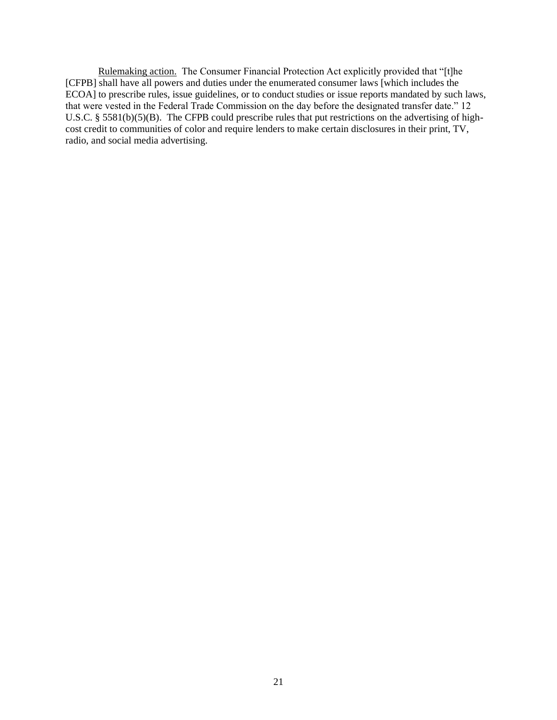Rulemaking action. The Consumer Financial Protection Act explicitly provided that "[t]he [CFPB] shall have all powers and duties under the enumerated consumer laws [which includes the ECOA] to prescribe rules, issue guidelines, or to conduct studies or issue reports mandated by such laws, that were vested in the Federal Trade Commission on the day before the designated transfer date." 12 U.S.C. § 5581(b)(5)(B). The CFPB could prescribe rules that put restrictions on the advertising of highcost credit to communities of color and require lenders to make certain disclosures in their print, TV, radio, and social media advertising.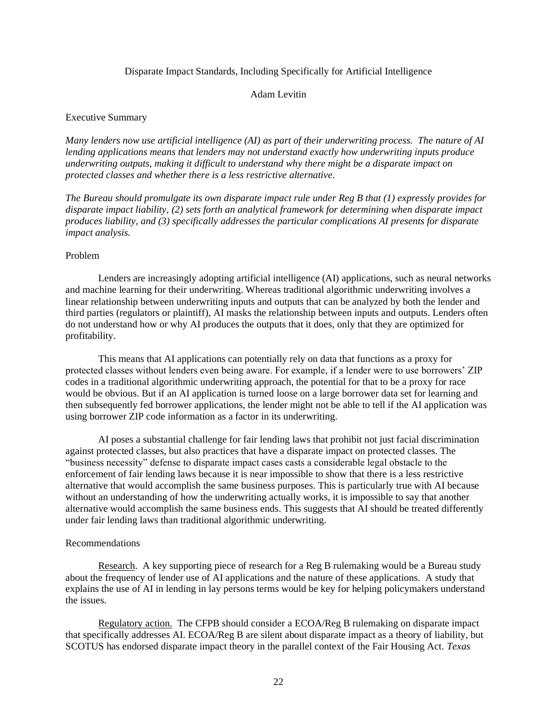#### Disparate Impact Standards, Including Specifically for Artificial Intelligence

## Adam Levitin

## <span id="page-25-0"></span>Executive Summary

*Many lenders now use artificial intelligence (AI) as part of their underwriting process. The nature of AI lending applications means that lenders may not understand exactly how underwriting inputs produce underwriting outputs, making it difficult to understand why there might be a disparate impact on protected classes and whether there is a less restrictive alternative.*

*The Bureau should promulgate its own disparate impact rule under Reg B that (1) expressly provides for disparate impact liability, (2) sets forth an analytical framework for determining when disparate impact produces liability, and (3) specifically addresses the particular complications AI presents for disparate impact analysis.* 

## Problem

Lenders are increasingly adopting artificial intelligence (AI) applications, such as neural networks and machine learning for their underwriting. Whereas traditional algorithmic underwriting involves a linear relationship between underwriting inputs and outputs that can be analyzed by both the lender and third parties (regulators or plaintiff), AI masks the relationship between inputs and outputs. Lenders often do not understand how or why AI produces the outputs that it does, only that they are optimized for profitability.

This means that AI applications can potentially rely on data that functions as a proxy for protected classes without lenders even being aware. For example, if a lender were to use borrowers' ZIP codes in a traditional algorithmic underwriting approach, the potential for that to be a proxy for race would be obvious. But if an AI application is turned loose on a large borrower data set for learning and then subsequently fed borrower applications, the lender might not be able to tell if the AI application was using borrower ZIP code information as a factor in its underwriting.

AI poses a substantial challenge for fair lending laws that prohibit not just facial discrimination against protected classes, but also practices that have a disparate impact on protected classes. The "business necessity" defense to disparate impact cases casts a considerable legal obstacle to the enforcement of fair lending laws because it is near impossible to show that there is a less restrictive alternative that would accomplish the same business purposes. This is particularly true with AI because without an understanding of how the underwriting actually works, it is impossible to say that another alternative would accomplish the same business ends. This suggests that AI should be treated differently under fair lending laws than traditional algorithmic underwriting.

#### Recommendations

Research. A key supporting piece of research for a Reg B rulemaking would be a Bureau study about the frequency of lender use of AI applications and the nature of these applications. A study that explains the use of AI in lending in lay persons terms would be key for helping policymakers understand the issues.

Regulatory action. The CFPB should consider a ECOA/Reg B rulemaking on disparate impact that specifically addresses AI. ECOA/Reg B are silent about disparate impact as a theory of liability, but SCOTUS has endorsed disparate impact theory in the parallel context of the Fair Housing Act. *Texas*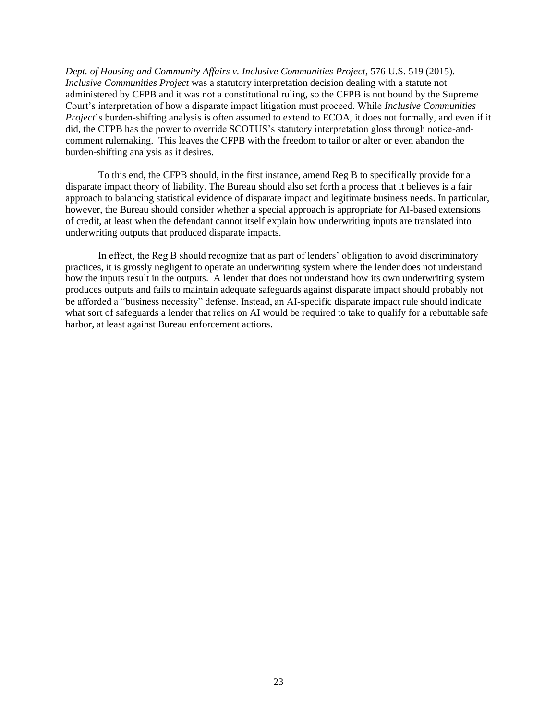*Dept. of Housing and Community Affairs v. Inclusive Communities Project*, 576 U.S. 519 (2015). *Inclusive Communities Project* was a statutory interpretation decision dealing with a statute not administered by CFPB and it was not a constitutional ruling, so the CFPB is not bound by the Supreme Court's interpretation of how a disparate impact litigation must proceed. While *Inclusive Communities Project*'s burden-shifting analysis is often assumed to extend to ECOA, it does not formally, and even if it did, the CFPB has the power to override SCOTUS's statutory interpretation gloss through notice-andcomment rulemaking. This leaves the CFPB with the freedom to tailor or alter or even abandon the burden-shifting analysis as it desires.

To this end, the CFPB should, in the first instance, amend Reg B to specifically provide for a disparate impact theory of liability. The Bureau should also set forth a process that it believes is a fair approach to balancing statistical evidence of disparate impact and legitimate business needs. In particular, however, the Bureau should consider whether a special approach is appropriate for AI-based extensions of credit, at least when the defendant cannot itself explain how underwriting inputs are translated into underwriting outputs that produced disparate impacts.

In effect, the Reg B should recognize that as part of lenders' obligation to avoid discriminatory practices, it is grossly negligent to operate an underwriting system where the lender does not understand how the inputs result in the outputs. A lender that does not understand how its own underwriting system produces outputs and fails to maintain adequate safeguards against disparate impact should probably not be afforded a "business necessity" defense. Instead, an AI-specific disparate impact rule should indicate what sort of safeguards a lender that relies on AI would be required to take to qualify for a rebuttable safe harbor, at least against Bureau enforcement actions.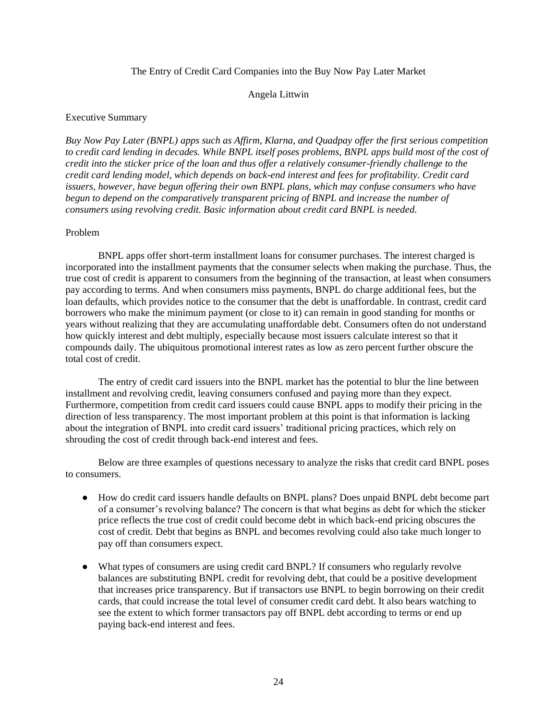## The Entry of Credit Card Companies into the Buy Now Pay Later Market

### Angela Littwin

### <span id="page-27-0"></span>Executive Summary

*Buy Now Pay Later (BNPL) apps such as Affirm, Klarna, and Quadpay offer the first serious competition to credit card lending in decades. While BNPL itself poses problems, BNPL apps build most of the cost of credit into the sticker price of the loan and thus offer a relatively consumer-friendly challenge to the credit card lending model, which depends on back-end interest and fees for profitability. Credit card issuers, however, have begun offering their own BNPL plans, which may confuse consumers who have begun to depend on the comparatively transparent pricing of BNPL and increase the number of consumers using revolving credit. Basic information about credit card BNPL is needed.* 

#### Problem

BNPL apps offer short-term installment loans for consumer purchases. The interest charged is incorporated into the installment payments that the consumer selects when making the purchase. Thus, the true cost of credit is apparent to consumers from the beginning of the transaction, at least when consumers pay according to terms. And when consumers miss payments, BNPL do charge additional fees, but the loan defaults, which provides notice to the consumer that the debt is unaffordable. In contrast, credit card borrowers who make the minimum payment (or close to it) can remain in good standing for months or years without realizing that they are accumulating unaffordable debt. Consumers often do not understand how quickly interest and debt multiply, especially because most issuers calculate interest so that it compounds daily. The ubiquitous promotional interest rates as low as zero percent further obscure the total cost of credit.

The entry of credit card issuers into the BNPL market has the potential to blur the line between installment and revolving credit, leaving consumers confused and paying more than they expect. Furthermore, competition from credit card issuers could cause BNPL apps to modify their pricing in the direction of less transparency. The most important problem at this point is that information is lacking about the integration of BNPL into credit card issuers' traditional pricing practices, which rely on shrouding the cost of credit through back-end interest and fees.

Below are three examples of questions necessary to analyze the risks that credit card BNPL poses to consumers.

- How do credit card issuers handle defaults on BNPL plans? Does unpaid BNPL debt become part of a consumer's revolving balance? The concern is that what begins as debt for which the sticker price reflects the true cost of credit could become debt in which back-end pricing obscures the cost of credit. Debt that begins as BNPL and becomes revolving could also take much longer to pay off than consumers expect.
- What types of consumers are using credit card BNPL? If consumers who regularly revolve balances are substituting BNPL credit for revolving debt, that could be a positive development that increases price transparency. But if transactors use BNPL to begin borrowing on their credit cards, that could increase the total level of consumer credit card debt. It also bears watching to see the extent to which former transactors pay off BNPL debt according to terms or end up paying back-end interest and fees.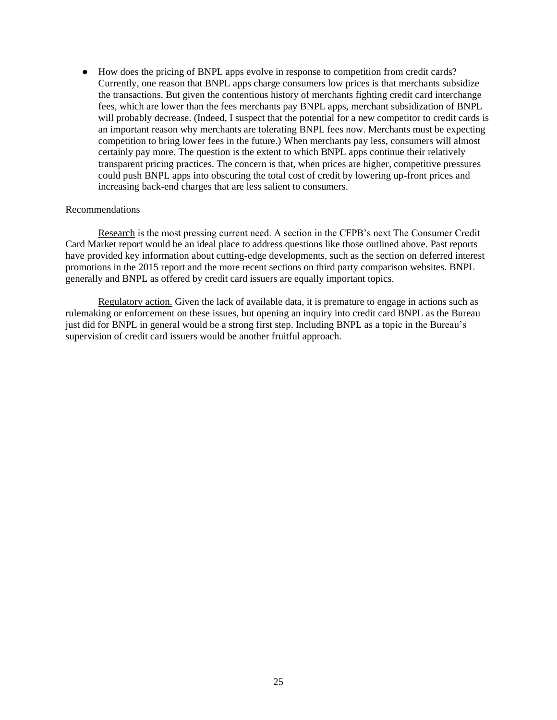● How does the pricing of BNPL apps evolve in response to competition from credit cards? Currently, one reason that BNPL apps charge consumers low prices is that merchants subsidize the transactions. But given the contentious history of merchants fighting credit card interchange fees, which are lower than the fees merchants pay BNPL apps, merchant subsidization of BNPL will probably decrease. (Indeed, I suspect that the potential for a new competitor to credit cards is an important reason why merchants are tolerating BNPL fees now. Merchants must be expecting competition to bring lower fees in the future.) When merchants pay less, consumers will almost certainly pay more. The question is the extent to which BNPL apps continue their relatively transparent pricing practices. The concern is that, when prices are higher, competitive pressures could push BNPL apps into obscuring the total cost of credit by lowering up-front prices and increasing back-end charges that are less salient to consumers.

## Recommendations

Research is the most pressing current need. A section in the CFPB's next The Consumer Credit Card Market report would be an ideal place to address questions like those outlined above. Past reports have provided key information about cutting-edge developments, such as the section on deferred interest promotions in the 2015 report and the more recent sections on third party comparison websites. BNPL generally and BNPL as offered by credit card issuers are equally important topics.

Regulatory action. Given the lack of available data, it is premature to engage in actions such as rulemaking or enforcement on these issues, but opening an inquiry into credit card BNPL as the Bureau just did for BNPL in general would be a strong first step. Including BNPL as a topic in the Bureau's supervision of credit card issuers would be another fruitful approach.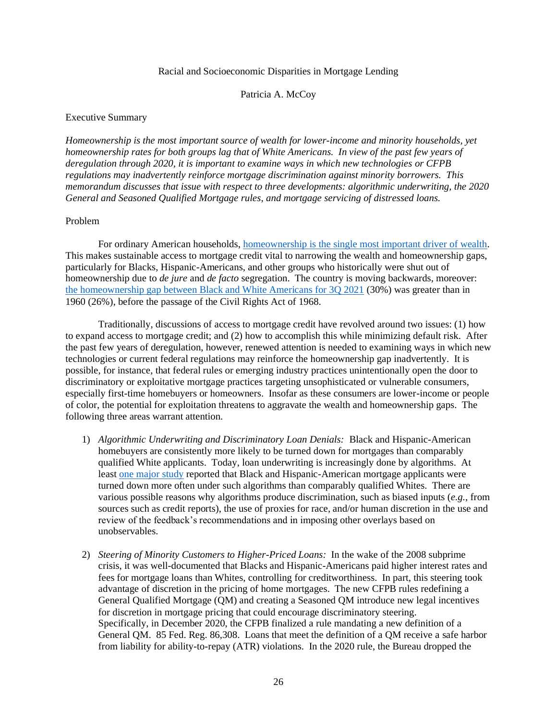## Racial and Socioeconomic Disparities in Mortgage Lending

## Patricia A. McCoy

## <span id="page-29-0"></span>Executive Summary

*Homeownership is the most important source of wealth for lower-income and minority households, yet homeownership rates for both groups lag that of White Americans. In view of the past few years of deregulation through 2020, it is important to examine ways in which new technologies or CFPB regulations may inadvertently reinforce mortgage discrimination against minority borrowers. This memorandum discusses that issue with respect to three developments: algorithmic underwriting, the 2020 General and Seasoned Qualified Mortgage rules, and mortgage servicing of distressed loans.*

## Problem

For ordinary American households, [homeownership is the single most important driver of wealth.](https://www.jchs.harvard.edu/sites/default/files/2013_wealth_update_mccue_02-18-16.pdf) This makes sustainable access to mortgage credit vital to narrowing the wealth and homeownership gaps, particularly for Blacks, Hispanic-Americans, and other groups who historically were shut out of homeownership due to *de jure* and *de facto* segregation. The country is moving backwards, moreover: [the homeownership gap between Black and White Americans for 3Q 2021](https://www.census.gov/housing/hvs/files/currenthvspress.pdf) (30%) was greater than in 1960 (26%), before the passage of the Civil Rights Act of 1968.

Traditionally, discussions of access to mortgage credit have revolved around two issues: (1) how to expand access to mortgage credit; and (2) how to accomplish this while minimizing default risk. After the past few years of deregulation, however, renewed attention is needed to examining ways in which new technologies or current federal regulations may reinforce the homeownership gap inadvertently. It is possible, for instance, that federal rules or emerging industry practices unintentionally open the door to discriminatory or exploitative mortgage practices targeting unsophisticated or vulnerable consumers, especially first-time homebuyers or homeowners. Insofar as these consumers are lower-income or people of color, the potential for exploitation threatens to aggravate the wealth and homeownership gaps. The following three areas warrant attention.

- 1) *Algorithmic Underwriting and Discriminatory Loan Denials:* Black and Hispanic-American homebuyers are consistently more likely to be turned down for mortgages than comparably qualified White applicants. Today, loan underwriting is increasingly done by algorithms. At least [one major study](about:blank) reported that Black and Hispanic-American mortgage applicants were turned down more often under such algorithms than comparably qualified Whites. There are various possible reasons why algorithms produce discrimination, such as biased inputs (*e.g.*, from sources such as credit reports), the use of proxies for race, and/or human discretion in the use and review of the feedback's recommendations and in imposing other overlays based on unobservables.
- 2) *Steering of Minority Customers to Higher-Priced Loans:* In the wake of the 2008 subprime crisis, it was well-documented that Blacks and Hispanic-Americans paid higher interest rates and fees for mortgage loans than Whites, controlling for creditworthiness. In part, this steering took advantage of discretion in the pricing of home mortgages. The new CFPB rules redefining a General Qualified Mortgage (QM) and creating a Seasoned QM introduce new legal incentives for discretion in mortgage pricing that could encourage discriminatory steering. Specifically, in December 2020, the CFPB finalized a rule mandating a new definition of a General QM. 85 Fed. Reg. 86,308. Loans that meet the definition of a QM receive a safe harbor from liability for ability-to-repay (ATR) violations. In the 2020 rule, the Bureau dropped the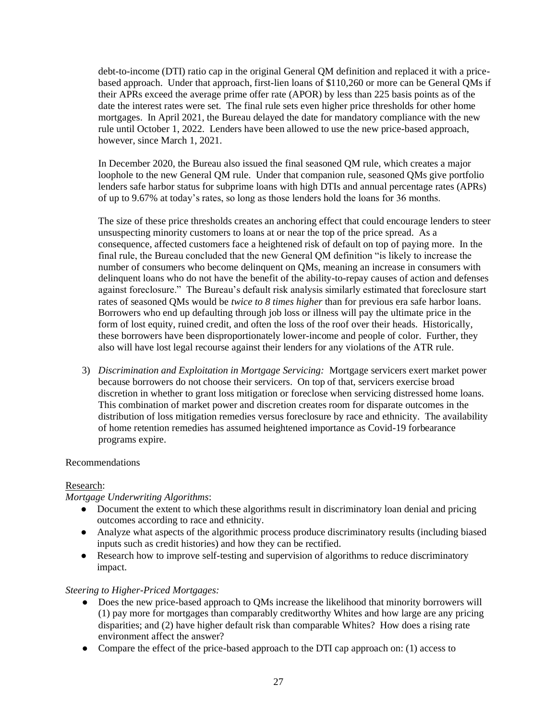debt-to-income (DTI) ratio cap in the original General QM definition and replaced it with a pricebased approach. Under that approach, first-lien loans of \$110,260 or more can be General QMs if their APRs exceed the average prime offer rate (APOR) by less than 225 basis points as of the date the interest rates were set. The final rule sets even higher price thresholds for other home mortgages. In April 2021, the Bureau delayed the date for mandatory compliance with the new rule until October 1, 2022. Lenders have been allowed to use the new price-based approach, however, since March 1, 2021.

In December 2020, the Bureau also issued the final seasoned QM rule, which creates a major loophole to the new General QM rule. Under that companion rule, seasoned QMs give portfolio lenders safe harbor status for subprime loans with high DTIs and annual percentage rates (APRs) of up to 9.67% at today's rates, so long as those lenders hold the loans for 36 months.

The size of these price thresholds creates an anchoring effect that could encourage lenders to steer unsuspecting minority customers to loans at or near the top of the price spread. As a consequence, affected customers face a heightened risk of default on top of paying more. In the final rule, the Bureau concluded that the new General QM definition "is likely to increase the number of consumers who become delinquent on QMs, meaning an increase in consumers with delinquent loans who do not have the benefit of the ability-to-repay causes of action and defenses against foreclosure." The Bureau's default risk analysis similarly estimated that foreclosure start rates of seasoned QMs would be *twice to 8 times higher* than for previous era safe harbor loans. Borrowers who end up defaulting through job loss or illness will pay the ultimate price in the form of lost equity, ruined credit, and often the loss of the roof over their heads. Historically, these borrowers have been disproportionately lower-income and people of color. Further, they also will have lost legal recourse against their lenders for any violations of the ATR rule.

3) *Discrimination and Exploitation in Mortgage Servicing:* Mortgage servicers exert market power because borrowers do not choose their servicers. On top of that, servicers exercise broad discretion in whether to grant loss mitigation or foreclose when servicing distressed home loans. This combination of market power and discretion creates room for disparate outcomes in the distribution of loss mitigation remedies versus foreclosure by race and ethnicity. The availability of home retention remedies has assumed heightened importance as Covid-19 forbearance programs expire.

## Recommendations

## Research:

## *Mortgage Underwriting Algorithms*:

- Document the extent to which these algorithms result in discriminatory loan denial and pricing outcomes according to race and ethnicity.
- Analyze what aspects of the algorithmic process produce discriminatory results (including biased inputs such as credit histories) and how they can be rectified.
- Research how to improve self-testing and supervision of algorithms to reduce discriminatory impact.

## *Steering to Higher-Priced Mortgages:*

- Does the new price-based approach to QMs increase the likelihood that minority borrowers will (1) pay more for mortgages than comparably creditworthy Whites and how large are any pricing disparities; and (2) have higher default risk than comparable Whites? How does a rising rate environment affect the answer?
- Compare the effect of the price-based approach to the DTI cap approach on: (1) access to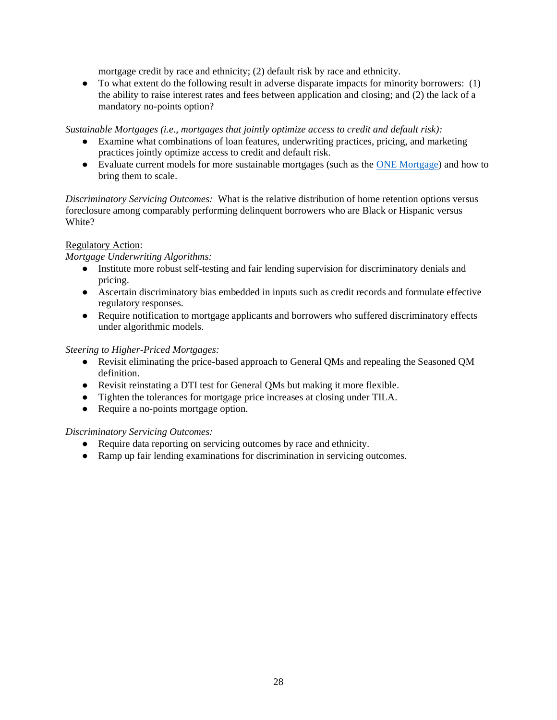mortgage credit by race and ethnicity; (2) default risk by race and ethnicity.

● To what extent do the following result in adverse disparate impacts for minority borrowers: (1) the ability to raise interest rates and fees between application and closing; and (2) the lack of a mandatory no-points option?

*Sustainable Mortgages (i.e., mortgages that jointly optimize access to credit and default risk):* 

- Examine what combinations of loan features, underwriting practices, pricing, and marketing practices jointly optimize access to credit and default risk.
- Evaluate current models for more sustainable mortgages (such as the [ONE Mortgage\)](https://www.mhp.net/one-mortgage) and how to bring them to scale.

*Discriminatory Servicing Outcomes:* What is the relative distribution of home retention options versus foreclosure among comparably performing delinquent borrowers who are Black or Hispanic versus White?

## Regulatory Action:

## *Mortgage Underwriting Algorithms:*

- Institute more robust self-testing and fair lending supervision for discriminatory denials and pricing.
- Ascertain discriminatory bias embedded in inputs such as credit records and formulate effective regulatory responses.
- Require notification to mortgage applicants and borrowers who suffered discriminatory effects under algorithmic models.

## *Steering to Higher-Priced Mortgages:*

- Revisit eliminating the price-based approach to General QMs and repealing the Seasoned QM definition.
- Revisit reinstating a DTI test for General QMs but making it more flexible.
- Tighten the tolerances for mortgage price increases at closing under TILA.
- Require a no-points mortgage option.

## *Discriminatory Servicing Outcomes:*

- Require data reporting on servicing outcomes by race and ethnicity.
- Ramp up fair lending examinations for discrimination in servicing outcomes.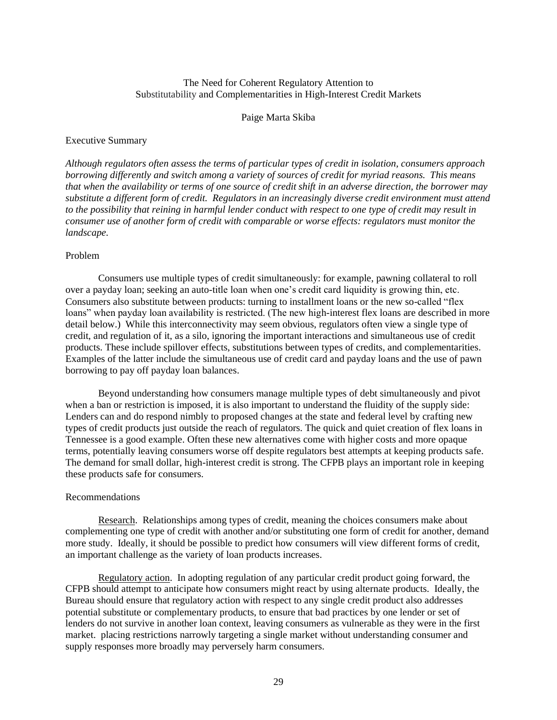## The Need for Coherent Regulatory Attention to Substitutability and Complementarities in High-Interest Credit Markets

## Paige Marta Skiba

#### <span id="page-32-0"></span>Executive Summary

*Although regulators often assess the terms of particular types of credit in isolation, consumers approach borrowing differently and switch among a variety of sources of credit for myriad reasons. This means that when the availability or terms of one source of credit shift in an adverse direction, the borrower may substitute a different form of credit. Regulators in an increasingly diverse credit environment must attend to the possibility that reining in harmful lender conduct with respect to one type of credit may result in consumer use of another form of credit with comparable or worse effects: regulators must monitor the landscape.*

## Problem

Consumers use multiple types of credit simultaneously: for example, pawning collateral to roll over a payday loan; seeking an auto-title loan when one's credit card liquidity is growing thin, etc. Consumers also substitute between products: turning to installment loans or the new so-called "flex loans" when payday loan availability is restricted. (The new high-interest flex loans are described in more detail below.) While this interconnectivity may seem obvious, regulators often view a single type of credit, and regulation of it, as a silo, ignoring the important interactions and simultaneous use of credit products. These include spillover effects, substitutions between types of credits, and complementarities. Examples of the latter include the simultaneous use of credit card and payday loans and the use of pawn borrowing to pay off payday loan balances.

Beyond understanding how consumers manage multiple types of debt simultaneously and pivot when a ban or restriction is imposed, it is also important to understand the fluidity of the supply side: Lenders can and do respond nimbly to proposed changes at the state and federal level by crafting new types of credit products just outside the reach of regulators. The quick and quiet creation of flex loans in Tennessee is a good example. Often these new alternatives come with higher costs and more opaque terms, potentially leaving consumers worse off despite regulators best attempts at keeping products safe. The demand for small dollar, high-interest credit is strong. The CFPB plays an important role in keeping these products safe for consumers.

## Recommendations

Research. Relationships among types of credit, meaning the choices consumers make about complementing one type of credit with another and/or substituting one form of credit for another, demand more study. Ideally, it should be possible to predict how consumers will view different forms of credit, an important challenge as the variety of loan products increases.

Regulatory action. In adopting regulation of any particular credit product going forward, the CFPB should attempt to anticipate how consumers might react by using alternate products. Ideally, the Bureau should ensure that regulatory action with respect to any single credit product also addresses potential substitute or complementary products, to ensure that bad practices by one lender or set of lenders do not survive in another loan context, leaving consumers as vulnerable as they were in the first market. placing restrictions narrowly targeting a single market without understanding consumer and supply responses more broadly may perversely harm consumers.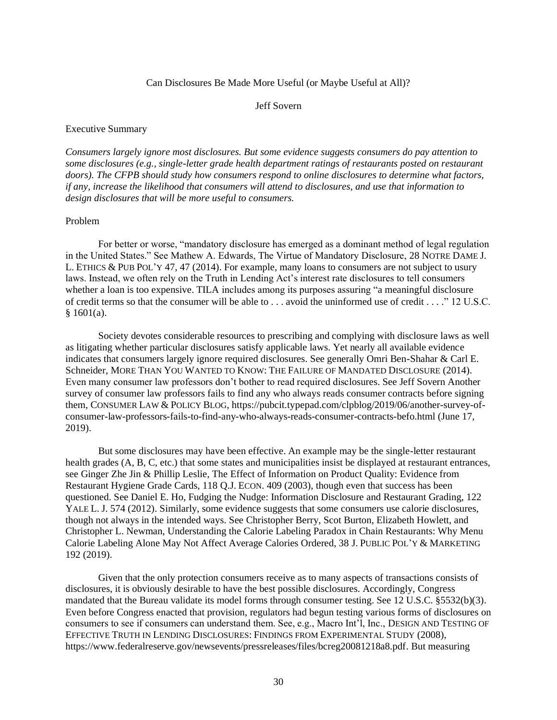#### Can Disclosures Be Made More Useful (or Maybe Useful at All)?

#### Jeff Sovern

#### <span id="page-33-0"></span>Executive Summary

*Consumers largely ignore most disclosures. But some evidence suggests consumers do pay attention to some disclosures (e.g., single-letter grade health department ratings of restaurants posted on restaurant doors). The CFPB should study how consumers respond to online disclosures to determine what factors, if any, increase the likelihood that consumers will attend to disclosures, and use that information to design disclosures that will be more useful to consumers.*

### Problem

For better or worse, "mandatory disclosure has emerged as a dominant method of legal regulation in the United States." See Mathew A. Edwards, The Virtue of Mandatory Disclosure, 28 NOTRE DAME J. L. ETHICS & PUB POL'Y 47, 47 (2014). For example, many loans to consumers are not subject to usury laws. Instead, we often rely on the Truth in Lending Act's interest rate disclosures to tell consumers whether a loan is too expensive. TILA includes among its purposes assuring "a meaningful disclosure of [credit](https://www.law.cornell.edu/definitions/uscode.php?width=840&height=800&iframe=true&def_id=15-USC-1352291591-852328089&term_occur=999&term_src=) terms so that the consumer will be able to . . . avoid the uninformed use of [credit . . . ."](https://www.law.cornell.edu/definitions/uscode.php?width=840&height=800&iframe=true&def_id=15-USC-1352291591-852328089&term_occur=999&term_src=title:15:chapter:41:subchapter:I:part:A:section:1601) 12 U.S.C.  $§ 1601(a).$ 

Society devotes considerable resources to prescribing and complying with disclosure laws as well as litigating whether particular disclosures satisfy applicable laws. Yet nearly all available evidence indicates that consumers largely ignore required disclosures. See generally Omri Ben-Shahar & Carl E. Schneider, MORE THAN YOU WANTED TO KNOW: THE FAILURE OF MANDATED DISCLOSURE (2014). Even many consumer law professors don't bother to read required disclosures. See Jeff Sovern Another survey of consumer law professors fails to find any who always reads consumer contracts before signing them, CONSUMER LAW & POLICY BLOG, [https://pubcit.typepad.com/clpblog/2019/06/another-survey-of](https://pubcit.typepad.com/clpblog/2019/06/another-survey-of-consumer-law-professors-fails-to-find-any-who-always-reads-consumer-contracts-befo.html)[consumer-law-professors-fails-to-find-any-who-always-reads-consumer-contracts-befo.html](https://pubcit.typepad.com/clpblog/2019/06/another-survey-of-consumer-law-professors-fails-to-find-any-who-always-reads-consumer-contracts-befo.html) (June 17, 2019).

But some disclosures may have been effective. An example may be the single-letter restaurant health grades (A, B, C, etc.) that some states and municipalities insist be displayed at restaurant entrances, see Ginger Zhe Jin & Phillip Leslie, The Effect of Information on Product Quality: Evidence from Restaurant Hygiene Grade Cards, 118 Q.J. ECON. 409 (2003), though even that success has been questioned. See Daniel E. Ho, Fudging the Nudge: Information Disclosure and Restaurant Grading, 122 YALE L. J. 574 (2012). Similarly, some evidence suggests that some consumers use calorie disclosures, though not always in the intended ways. See Christopher Berry, Scot Burton, Elizabeth Howlett, and Christopher L. Newman, Understanding the Calorie Labeling Paradox in Chain Restaurants: Why Menu Calorie Labeling Alone May Not Affect Average Calories Ordered, 38 J. PUBLIC POL'Y & MARKETING 192 (2019).

Given that the only protection consumers receive as to many aspects of transactions consists of disclosures, it is obviously desirable to have the best possible disclosures. Accordingly, Congress mandated that the Bureau validate its model forms through consumer testing. See 12 U.S.C. §5532(b)(3). Even before Congress enacted that provision, regulators had begun testing various forms of disclosures on consumers to see if consumers can understand them. See, e.g., Macro Int'l, Inc., DESIGN AND TESTING OF EFFECTIVE TRUTH IN LENDING DISCLOSURES: FINDINGS FROM EXPERIMENTAL STUDY (2008), [https://www.federalreserve.gov/newsevents/pressreleases/files/bcreg20081218a8.pdf.](https://www.federalreserve.gov/newsevents/pressreleases/files/bcreg20081218a8.pdf) But measuring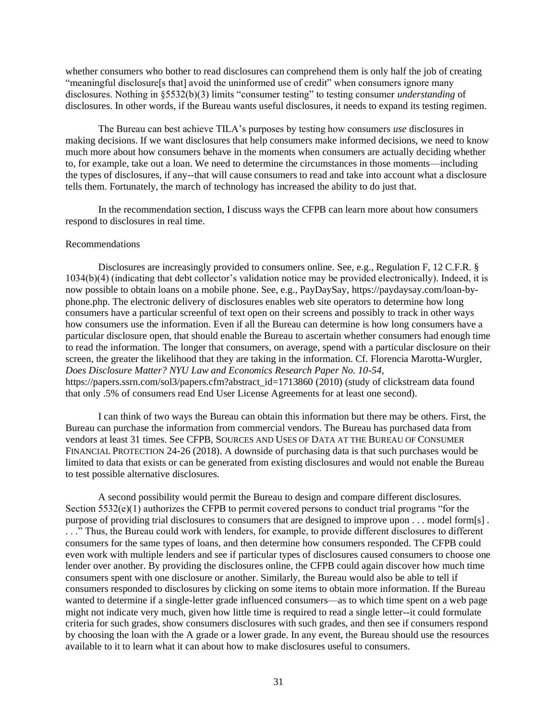whether consumers who bother to read disclosures can comprehend them is only half the job of creating "meaningful disclosure<sup>[sthat]</sup> avoid the uninformed use of credit" when consumers ignore many disclosures. Nothing in §5532(b)(3) limits "consumer testing" to testing consumer *understanding* of disclosures. In other words, if the Bureau wants useful disclosures, it needs to expand its testing regimen.

The Bureau can best achieve TILA's purposes by testing how consumers *use* disclosures in making decisions. If we want disclosures that help consumers make informed decisions, we need to know much more about how consumers behave in the moments when consumers are actually deciding whether to, for example, take out a loan. We need to determine the circumstances in those moments—including the types of disclosures, if any--that will cause consumers to read and take into account what a disclosure tells them. Fortunately, the march of technology has increased the ability to do just that.

In the recommendation section, I discuss ways the CFPB can learn more about how consumers respond to disclosures in real time.

#### Recommendations

Disclosures are increasingly provided to consumers online. See, e.g., Regulation F, 12 C.F.R. § 1034(b)(4) (indicating that debt collector's validation notice may be provided electronically). Indeed, it is now possible to obtain loans on a mobile phone. See, e.g., PayDaySay, [https://paydaysay.com/loan-by](https://paydaysay.com/loan-by-phone.php)[phone.php.](https://paydaysay.com/loan-by-phone.php) The electronic delivery of disclosures enables web site operators to determine how long consumers have a particular screenful of text open on their screens and possibly to track in other ways how consumers use the information. Even if all the Bureau can determine is how long consumers have a particular disclosure open, that should enable the Bureau to ascertain whether consumers had enough time to read the information. The longer that consumers, on average, spend with a particular disclosure on their screen, the greater the likelihood that they are taking in the information. Cf. [Florencia Marotta-Wurgler,](https://papers.ssrn.com/sol3/cf_dev/AbsByAuth.cfm?per_id=352742) *Does Disclosure Matter? [NYU Law and Economics Research Paper No. 10-54](https://papers.ssrn.com/sol3/papers.cfm?abstract_id=1713860)*, [https://papers.ssrn.com/sol3/papers.cfm?abstract\\_id=1713860](https://papers.ssrn.com/sol3/papers.cfm?abstract_id=1713860) (2010) (study of clickstream data found that only .5% of consumers read End User License Agreements for at least one second).

I can think of two ways the Bureau can obtain this information but there may be others. First, the Bureau can purchase the information from commercial vendors. The Bureau has purchased data from vendors at least 31 times. See CFPB, SOURCES AND USES OF DATA AT THE BUREAU OF CONSUMER FINANCIAL PROTECTION 24-26 (2018). A downside of purchasing data is that such purchases would be limited to data that exists or can be generated from existing disclosures and would not enable the Bureau to test possible alternative disclosures.

A second possibility would permit the Bureau to design and compare different disclosures. Section 5532(e)(1) authorizes the CFPB to permit covered persons to conduct trial programs "for the purpose of providing trial disclosures to consumers that are designed to improve upon . . . model form[s] . . . ." Thus, the Bureau could work with lenders, for example, to provide different disclosures to different consumers for the same types of loans, and then determine how consumers responded. The CFPB could even work with multiple lenders and see if particular types of disclosures caused consumers to choose one lender over another. By providing the disclosures online, the CFPB could again discover how much time consumers spent with one disclosure or another. Similarly, the Bureau would also be able to tell if consumers responded to disclosures by clicking on some items to obtain more information. If the Bureau wanted to determine if a single-letter grade influenced consumers—as to which time spent on a web page might not indicate very much, given how little time is required to read a single letter--it could formulate criteria for such grades, show consumers disclosures with such grades, and then see if consumers respond by choosing the loan with the A grade or a lower grade. In any event, the Bureau should use the resources available to it to learn what it can about how to make disclosures useful to consumers.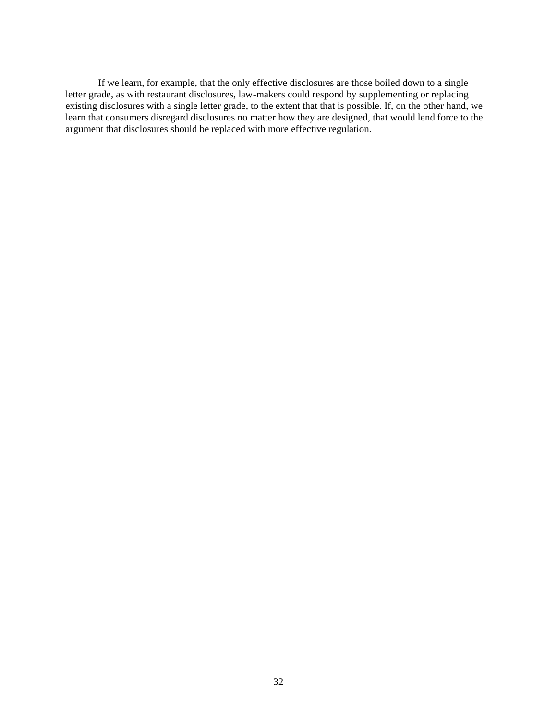If we learn, for example, that the only effective disclosures are those boiled down to a single letter grade, as with restaurant disclosures, law-makers could respond by supplementing or replacing existing disclosures with a single letter grade, to the extent that that is possible. If, on the other hand, we learn that consumers disregard disclosures no matter how they are designed, that would lend force to the argument that disclosures should be replaced with more effective regulation.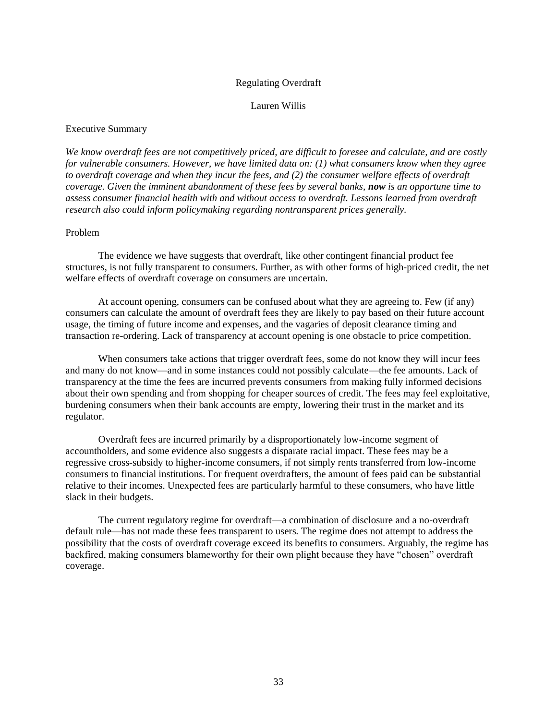## Regulating Overdraft

### Lauren Willis

#### <span id="page-36-0"></span>Executive Summary

*We know overdraft fees are not competitively priced, are difficult to foresee and calculate, and are costly for vulnerable consumers. However, we have limited data on: (1) what consumers know when they agree to overdraft coverage and when they incur the fees, and (2) the consumer welfare effects of overdraft coverage. Given the imminent abandonment of these fees by several banks, now is an opportune time to assess consumer financial health with and without access to overdraft. Lessons learned from overdraft research also could inform policymaking regarding nontransparent prices generally.*

#### Problem

The evidence we have suggests that overdraft, like other contingent financial product fee structures, is not fully transparent to consumers. Further, as with other forms of high-priced credit, the net welfare effects of overdraft coverage on consumers are uncertain.

At account opening, consumers can be confused about what they are agreeing to. Few (if any) consumers can calculate the amount of overdraft fees they are likely to pay based on their future account usage, the timing of future income and expenses, and the vagaries of deposit clearance timing and transaction re-ordering. Lack of transparency at account opening is one obstacle to price competition.

When consumers take actions that trigger overdraft fees, some do not know they will incur fees and many do not know—and in some instances could not possibly calculate—the fee amounts. Lack of transparency at the time the fees are incurred prevents consumers from making fully informed decisions about their own spending and from shopping for cheaper sources of credit. The fees may feel exploitative, burdening consumers when their bank accounts are empty, lowering their trust in the market and its regulator.

Overdraft fees are incurred primarily by a disproportionately low-income segment of accountholders, and some evidence also suggests a disparate racial impact. These fees may be a regressive cross-subsidy to higher-income consumers, if not simply rents transferred from low-income consumers to financial institutions. For frequent overdrafters, the amount of fees paid can be substantial relative to their incomes. Unexpected fees are particularly harmful to these consumers, who have little slack in their budgets.

The current regulatory regime for overdraft—a combination of disclosure and a no-overdraft default rule—has not made these fees transparent to users. The regime does not attempt to address the possibility that the costs of overdraft coverage exceed its benefits to consumers. Arguably, the regime has backfired, making consumers blameworthy for their own plight because they have "chosen" overdraft coverage.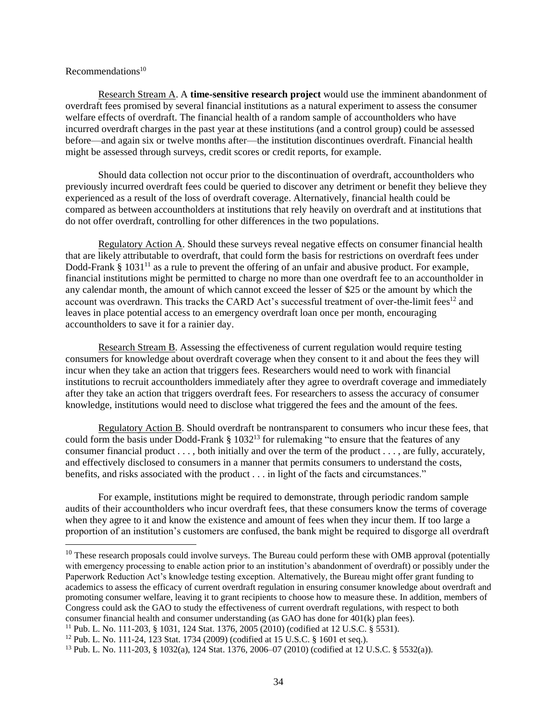## Recommendations<sup>10</sup>

Research Stream A. A **time-sensitive research project** would use the imminent abandonment of overdraft fees promised by several financial institutions as a natural experiment to assess the consumer welfare effects of overdraft. The financial health of a random sample of accountholders who have incurred overdraft charges in the past year at these institutions (and a control group) could be assessed before—and again six or twelve months after—the institution discontinues overdraft. Financial health might be assessed through surveys, credit scores or credit reports, for example.

Should data collection not occur prior to the discontinuation of overdraft, accountholders who previously incurred overdraft fees could be queried to discover any detriment or benefit they believe they experienced as a result of the loss of overdraft coverage. Alternatively, financial health could be compared as between accountholders at institutions that rely heavily on overdraft and at institutions that do not offer overdraft, controlling for other differences in the two populations.

Regulatory Action A. Should these surveys reveal negative effects on consumer financial health that are likely attributable to overdraft, that could form the basis for restrictions on overdraft fees under Dodd-Frank  $\S 1031<sup>11</sup>$  as a rule to prevent the offering of an unfair and abusive product. For example, financial institutions might be permitted to charge no more than one overdraft fee to an accountholder in any calendar month, the amount of which cannot exceed the lesser of \$25 or the amount by which the account was overdrawn. This tracks the CARD Act's successful treatment of over-the-limit fees<sup>12</sup> and leaves in place potential access to an emergency overdraft loan once per month, encouraging accountholders to save it for a rainier day.

Research Stream B. Assessing the effectiveness of current regulation would require testing consumers for knowledge about overdraft coverage when they consent to it and about the fees they will incur when they take an action that triggers fees. Researchers would need to work with financial institutions to recruit accountholders immediately after they agree to overdraft coverage and immediately after they take an action that triggers overdraft fees. For researchers to assess the accuracy of consumer knowledge, institutions would need to disclose what triggered the fees and the amount of the fees.

Regulatory Action B. Should overdraft be nontransparent to consumers who incur these fees, that could form the basis under Dodd-Frank  $\S$  1032<sup>13</sup> for rulemaking "to ensure that the features of any consumer financial product . . . , both initially and over the term of the product . . . , are fully, accurately, and effectively disclosed to consumers in a manner that permits consumers to understand the costs, benefits, and risks associated with the product . . . in light of the facts and circumstances."

For example, institutions might be required to demonstrate, through periodic random sample audits of their accountholders who incur overdraft fees, that these consumers know the terms of coverage when they agree to it and know the existence and amount of fees when they incur them. If too large a proportion of an institution's customers are confused, the bank might be required to disgorge all overdraft

 $10$  These research proposals could involve surveys. The Bureau could perform these with OMB approval (potentially with emergency processing to enable action prior to an institution's abandonment of overdraft) or possibly under the Paperwork Reduction Act's knowledge testing exception. Alternatively, the Bureau might offer grant funding to academics to assess the efficacy of current overdraft regulation in ensuring consumer knowledge about overdraft and promoting consumer welfare, leaving it to grant recipients to choose how to measure these. In addition, members of Congress could ask the GAO to study the effectiveness of current overdraft regulations, with respect to both consumer financial health and consumer understanding (as GAO has done for 401(k) plan fees).

<sup>11</sup> Pub. L. No. 111-203, § 1031, 124 Stat. 1376, 2005 (2010) (codified at 12 U.S.C. § 5531).

<sup>12</sup> Pub. L. No. 111-24, 123 Stat. 1734 (2009) (codified at 15 U.S.C. § 1601 et seq.).

<sup>13</sup> Pub. L. No. 111-203, § 1032(a), 124 Stat. 1376, 2006–07 (2010) (codified at 12 U.S.C. § 5532(a)).